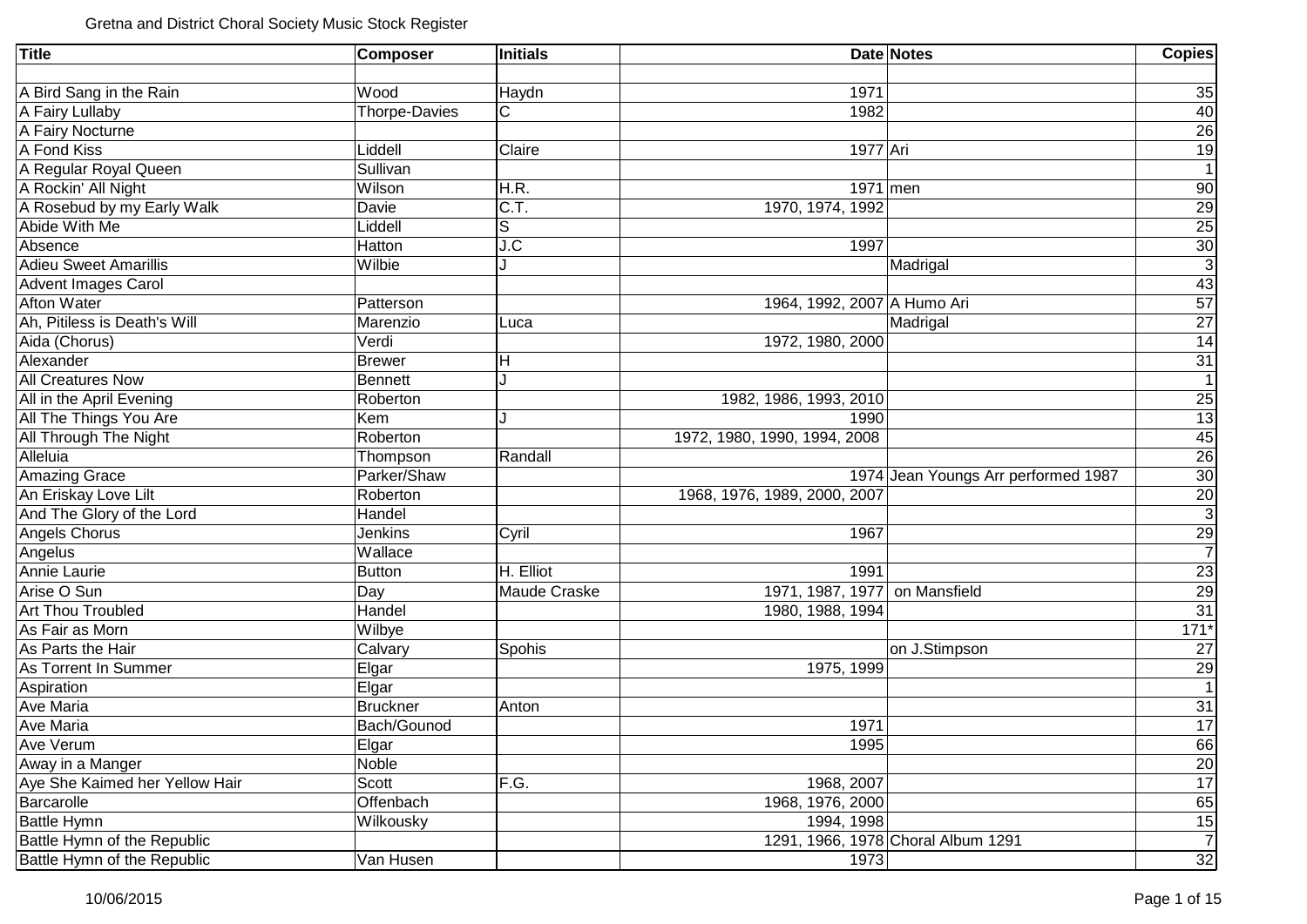| <b>Title</b>                   | <b>Composer</b>      | <b>Initials</b> |                              | <b>Date Notes</b>                   | Copies          |
|--------------------------------|----------------------|-----------------|------------------------------|-------------------------------------|-----------------|
|                                |                      |                 |                              |                                     |                 |
| A Bird Sang in the Rain        | Wood                 | Haydn           | 1971                         |                                     | 35              |
| A Fairy Lullaby                | <b>Thorpe-Davies</b> | С               | 1982                         |                                     | 40              |
| A Fairy Nocturne               |                      |                 |                              |                                     | $\overline{26}$ |
| A Fond Kiss                    | Liddell              | Claire          | 1977 Ari                     |                                     | $\overline{19}$ |
| A Regular Royal Queen          | Sullivan             |                 |                              |                                     | $\mathbf{1}$    |
| A Rockin' All Night            | Wilson               | H.R.            | $1971$ men                   |                                     | 90              |
| A Rosebud by my Early Walk     | Davie                | C.T.            | 1970, 1974, 1992             |                                     | $\frac{29}{25}$ |
| Abide With Me                  | Liddell              | S               |                              |                                     |                 |
| Absence                        | Hatton               | J.C             | 1997                         |                                     | 30              |
| <b>Adieu Sweet Amarillis</b>   | Wilbie               | J               |                              | Madrigal                            | $\overline{3}$  |
| <b>Advent Images Carol</b>     |                      |                 |                              |                                     | 43              |
| <b>Afton Water</b>             | Patterson            |                 | 1964, 1992, 2007 A Humo Ari  |                                     | $\overline{57}$ |
| Ah, Pitiless is Death's Will   | Marenzio             | Luca            |                              | Madrigal                            | $\overline{27}$ |
| Aida (Chorus)                  | Verdi                |                 | 1972, 1980, 2000             |                                     | 14              |
| Alexander                      | Brewer               | Н               |                              |                                     | $\overline{31}$ |
| <b>All Creatures Now</b>       | Bennett              | J               |                              |                                     | $\overline{1}$  |
| All in the April Evening       | Roberton             |                 | 1982, 1986, 1993, 2010       |                                     |                 |
| All The Things You Are         | Kem                  | J               | 1990                         |                                     | $\frac{25}{13}$ |
| All Through The Night          | Roberton             |                 | 1972, 1980, 1990, 1994, 2008 |                                     | 45              |
| Alleluia                       | Thompson             | Randall         |                              |                                     | 26              |
| <b>Amazing Grace</b>           | Parker/Shaw          |                 |                              | 1974 Jean Youngs Arr performed 1987 | 30              |
| An Eriskay Love Lilt           | Roberton             |                 | 1968, 1976, 1989, 2000, 2007 |                                     | $\frac{20}{3}$  |
| And The Glory of the Lord      | Handel               |                 |                              |                                     |                 |
| Angels Chorus                  | Jenkins              | Cyril           | 1967                         |                                     | $\frac{29}{7}$  |
| Angelus                        | Wallace              |                 |                              |                                     |                 |
| Annie Laurie                   | <b>Button</b>        | H. Elliot       | 1991                         |                                     | $\frac{23}{29}$ |
| Arise O Sun                    | Day                  | Maude Craske    | 1971, 1987, 1977             | on Mansfield                        |                 |
| <b>Art Thou Troubled</b>       | Handel               |                 | 1980, 1988, 1994             |                                     | 31              |
| As Fair as Morn                | Wilbye               |                 |                              |                                     | $171*$          |
| As Parts the Hair              | Calvary              | Spohis          |                              | on J.Stimpson                       | $\overline{27}$ |
| As Torrent In Summer           | Elgar                |                 | 1975, 1999                   |                                     | $\frac{29}{1}$  |
| Aspiration                     | Elgar                |                 |                              |                                     |                 |
| <b>Ave Maria</b>               | <b>Bruckner</b>      | Anton           |                              |                                     | $\frac{31}{17}$ |
| <b>Ave Maria</b>               | Bach/Gounod          |                 | 1971                         |                                     |                 |
| Ave Verum                      | Elgar                |                 | 1995                         |                                     | 66              |
| Away in a Manger               | Noble                |                 |                              |                                     | 20              |
| Aye She Kaimed her Yellow Hair | Scott                | F.G.            | 1968, 2007                   |                                     | 17              |
| Barcarolle                     | Offenbach            |                 | 1968, 1976, 2000             |                                     | 65              |
| <b>Battle Hymn</b>             | Wilkousky            |                 | 1994, 1998                   |                                     | 15              |
| Battle Hymn of the Republic    |                      |                 |                              | 1291, 1966, 1978 Choral Album 1291  | $\overline{7}$  |
| Battle Hymn of the Republic    | Van Husen            |                 | 1973                         |                                     | 32              |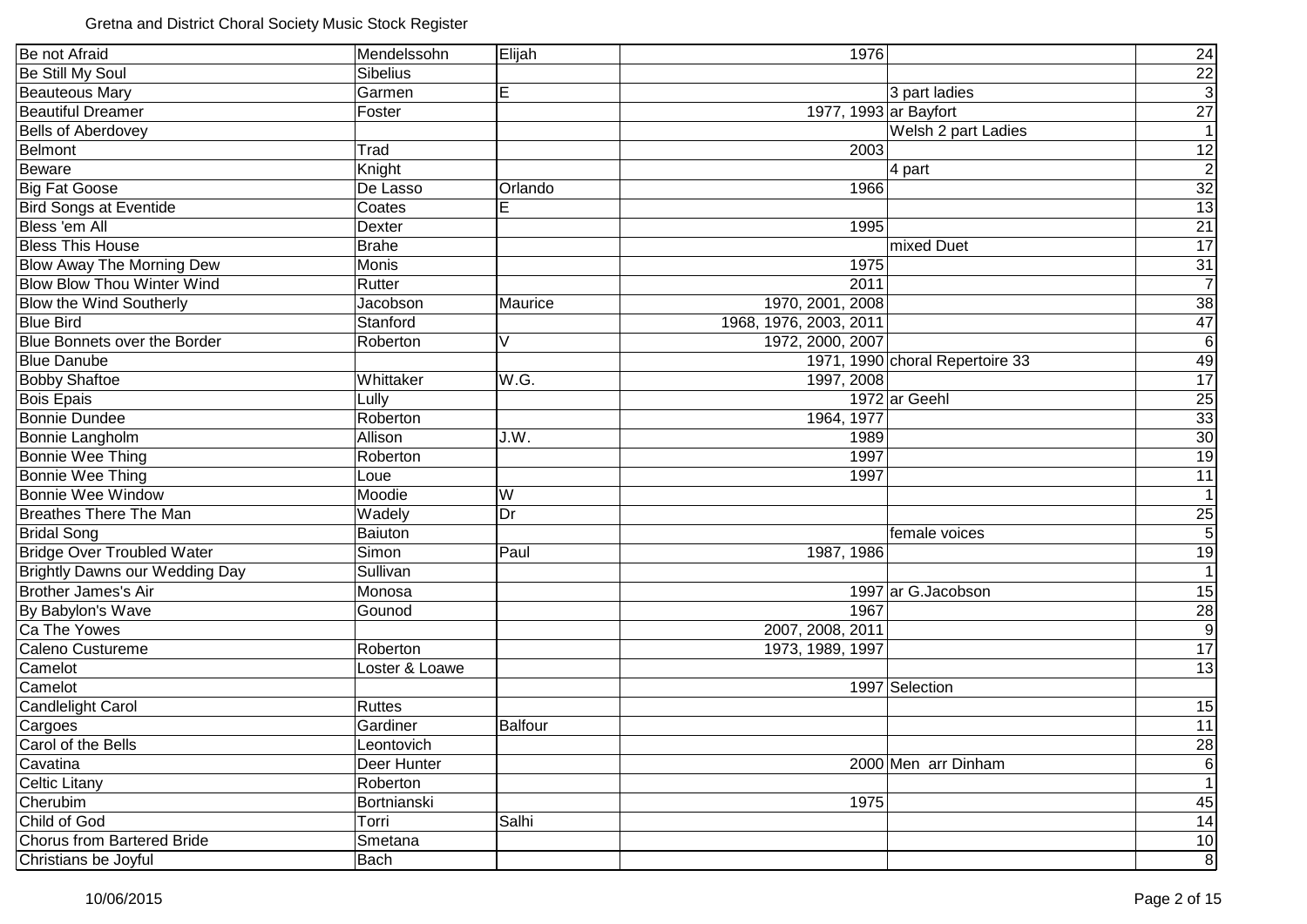| Be not Afraid                         | Mendelssohn     | Elijah         | 1976                            | 24               |
|---------------------------------------|-----------------|----------------|---------------------------------|------------------|
| Be Still My Soul                      | <b>Sibelius</b> |                |                                 |                  |
| <b>Beauteous Mary</b>                 | Garmen          | E              | 3 part ladies                   | $\frac{22}{3}$   |
| <b>Beautiful Dreamer</b>              | Foster          |                | 1977, 1993 ar Bayfort           | 27               |
| <b>Bells of Aberdovey</b>             |                 |                | Welsh 2 part Ladies             | 1                |
| Belmont                               | Trad            |                | 2003                            | 12               |
| Beware                                | Knight          |                | 4 part                          | $\overline{2}$   |
| <b>Big Fat Goose</b>                  | De Lasso        | Orlando        | 1966                            | 32               |
| <b>Bird Songs at Eventide</b>         | Coates          | E              |                                 | 13               |
| Bless 'em All                         | Dexter          |                | 1995                            | 21               |
| <b>Bless This House</b>               | <b>Brahe</b>    |                | mixed Duet                      | $\overline{17}$  |
| <b>Blow Away The Morning Dew</b>      | Monis           |                | 1975                            | 31               |
| <b>Blow Blow Thou Winter Wind</b>     | Rutter          |                | 2011                            | $\overline{7}$   |
| <b>Blow the Wind Southerly</b>        | Jacobson        | Maurice        | 1970, 2001, 2008                | 38               |
| <b>Blue Bird</b>                      | Stanford        |                | 1968, 1976, 2003, 2011          | 47               |
| Blue Bonnets over the Border          | Roberton        | V              | 1972, 2000, 2007                | $6 \overline{6}$ |
| <b>Blue Danube</b>                    |                 |                | 1971, 1990 choral Repertoire 33 | 49               |
| <b>Bobby Shaftoe</b>                  | Whittaker       | W.G.           | 1997, 2008                      | 17               |
| <b>Bois Epais</b>                     | Lully           |                | 1972 ar Geehl                   | 25               |
| <b>Bonnie Dundee</b>                  | Roberton        |                | 1964, 1977                      | 33               |
| Bonnie Langholm                       | Allison         | J.W.           | 1989                            | 30               |
| Bonnie Wee Thing                      | Roberton        |                | 1997                            | 19               |
| Bonnie Wee Thing                      | Loue            |                | 1997                            | 11               |
| Bonnie Wee Window                     | Moodie          | W              |                                 | $\overline{1}$   |
| <b>Breathes There The Man</b>         | Wadely          | Dr             |                                 | $\frac{25}{5}$   |
| <b>Bridal Song</b>                    | Baiuton         |                | female voices                   |                  |
| <b>Bridge Over Troubled Water</b>     | Simon           | Paul           | 1987, 1986                      | 19               |
| <b>Brightly Dawns our Wedding Day</b> | Sullivan        |                |                                 | $\overline{1}$   |
| <b>Brother James's Air</b>            | Monosa          |                | 1997 ar G. Jacobson             | 15               |
| By Babylon's Wave                     | Gounod          |                | 1967                            | $\frac{28}{9}$   |
| Ca The Yowes                          |                 |                | 2007, 2008, 2011                |                  |
| Caleno Custureme                      | Roberton        |                | 1973, 1989, 1997                | 17               |
| Camelot                               | Loster & Loawe  |                |                                 | 13               |
| Camelot                               |                 |                | 1997 Selection                  |                  |
| <b>Candlelight Carol</b>              | <b>Ruttes</b>   |                |                                 | 15               |
| Cargoes                               | Gardiner        | <b>Balfour</b> |                                 | 11               |
| Carol of the Bells                    | Leontovich      |                |                                 | 28               |
| Cavatina                              | Deer Hunter     |                | 2000 Men arr Dinham             | 6 <sup>1</sup>   |
| Celtic Litany                         | Roberton        |                |                                 | 1                |
| Cherubim                              | Bortnianski     |                | 1975                            | 45               |
| Child of God                          | Torri           | Salhi          |                                 | 14               |
| <b>Chorus from Bartered Bride</b>     | Smetana         |                |                                 | 10               |
| Christians be Joyful                  | Bach            |                |                                 | $\bf{8}$         |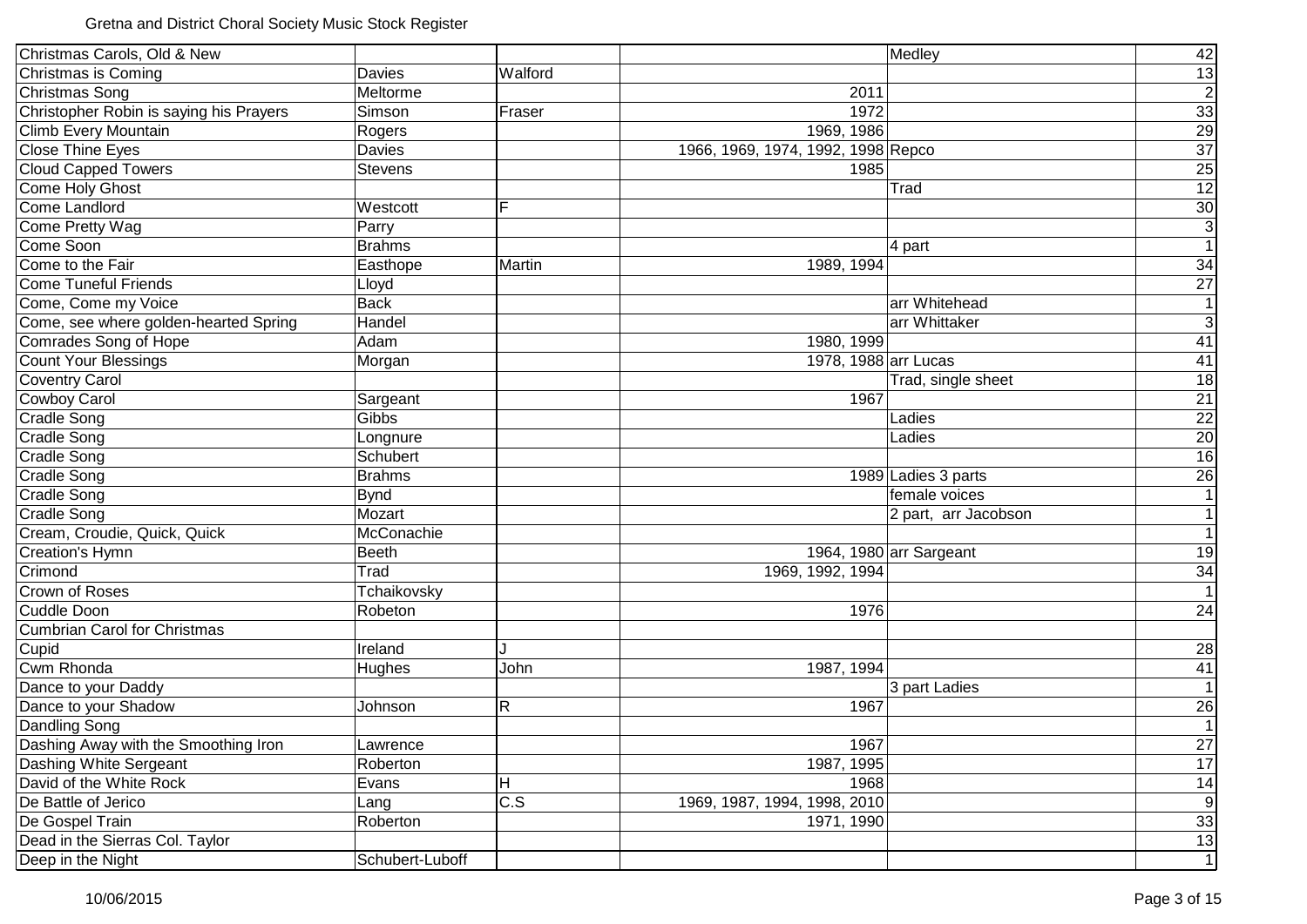| Christmas Carols, Old & New             |                 |                  |                                    | Medley                  | 42                  |
|-----------------------------------------|-----------------|------------------|------------------------------------|-------------------------|---------------------|
| Christmas is Coming                     | Davies          | Walford          |                                    |                         |                     |
| Christmas Song                          | Meltorme        |                  | 2011                               |                         |                     |
| Christopher Robin is saying his Prayers | Simson          | Fraser           | 1972                               |                         |                     |
| Climb Every Mountain                    | Rogers          |                  | 1969, 1986                         |                         |                     |
| <b>Close Thine Eyes</b>                 | Davies          |                  | 1966, 1969, 1974, 1992, 1998 Repco |                         |                     |
| <b>Cloud Capped Towers</b>              | <b>Stevens</b>  |                  | 1985                               |                         | <u>ಜူမြို့ ကြီး</u> |
| Come Holy Ghost                         |                 |                  |                                    | Trad                    | $\overline{12}$     |
| <b>Come Landlord</b>                    | Westcott        | F                |                                    |                         | $\overline{30}$     |
| Come Pretty Wag                         | Parry           |                  |                                    |                         | $\overline{3}$      |
| Come Soon                               | <b>Brahms</b>   |                  |                                    | 4 part                  | $\overline{1}$      |
| Come to the Fair                        | Easthope        | Martin           | 1989, 1994                         |                         | 34                  |
| <b>Come Tuneful Friends</b>             | Lloyd           |                  |                                    |                         | $\overline{27}$     |
| Come, Come my Voice                     | <b>Back</b>     |                  |                                    | arr Whitehead           | $\mathbf{1}$        |
| Come, see where golden-hearted Spring   | Handel          |                  |                                    | arr Whittaker           | $\overline{3}$      |
| Comrades Song of Hope                   | Adam            |                  | 1980, 1999                         |                         | 41                  |
| Count Your Blessings                    | Morgan          |                  | 1978, 1988 arr Lucas               |                         | 41                  |
| <b>Coventry Carol</b>                   |                 |                  |                                    | Trad, single sheet      | $\overline{18}$     |
| <b>Cowboy Carol</b>                     | Sargeant        |                  | 1967                               |                         | $\overline{21}$     |
| <b>Cradle Song</b>                      | Gibbs           |                  |                                    | Ladies                  | $\overline{22}$     |
| <b>Cradle Song</b>                      | Longnure        |                  |                                    | Ladies                  | $\overline{20}$     |
| <b>Cradle Song</b>                      | Schubert        |                  |                                    |                         | $\overline{16}$     |
| <b>Cradle Song</b>                      | <b>Brahms</b>   |                  |                                    | 1989 Ladies 3 parts     | $\overline{26}$     |
| <b>Cradle Song</b>                      | <b>Bynd</b>     |                  |                                    | female voices           | 1                   |
| <b>Cradle Song</b>                      | Mozart          |                  |                                    | 2 part, arr Jacobson    | $\mathbf{1}$        |
| Cream, Croudie, Quick, Quick            | McConachie      |                  |                                    |                         | $\overline{1}$      |
| <b>Creation's Hymn</b>                  | <b>Beeth</b>    |                  |                                    | 1964, 1980 arr Sargeant | 19                  |
| Crimond                                 | Trad            |                  | 1969, 1992, 1994                   |                         | $\frac{34}{1}$      |
| Crown of Roses                          | Tchaikovsky     |                  |                                    |                         |                     |
| Cuddle Doon                             | Robeton         |                  | 1976                               |                         | 24                  |
| <b>Cumbrian Carol for Christmas</b>     |                 |                  |                                    |                         |                     |
| Cupid                                   | Ireland         |                  |                                    |                         | 28                  |
| Cwm Rhonda                              | Hughes          | John             | 1987, 1994                         |                         | 41                  |
| Dance to your Daddy                     |                 |                  |                                    | 3 part Ladies           | $\overline{1}$      |
| Dance to your Shadow                    | Johnson         | R                | 1967                               |                         | $\frac{26}{1}$      |
| Dandling Song                           |                 |                  |                                    |                         |                     |
| Dashing Away with the Smoothing Iron    | Lawrence        |                  | 1967                               |                         | 27                  |
| Dashing White Sergeant                  | Roberton        |                  | 1987, 1995                         |                         | 17                  |
| David of the White Rock                 | Evans           | н                | 1968                               |                         | 14                  |
| De Battle of Jerico                     | Lang            | $\overline{c.s}$ | 1969, 1987, 1994, 1998, 2010       |                         | $\overline{9}$      |
| De Gospel Train                         | Roberton        |                  | 1971, 1990                         |                         | 33                  |
| Dead in the Sierras Col. Taylor         |                 |                  |                                    |                         | 13                  |
| Deep in the Night                       | Schubert-Luboff |                  |                                    |                         | $\overline{1}$      |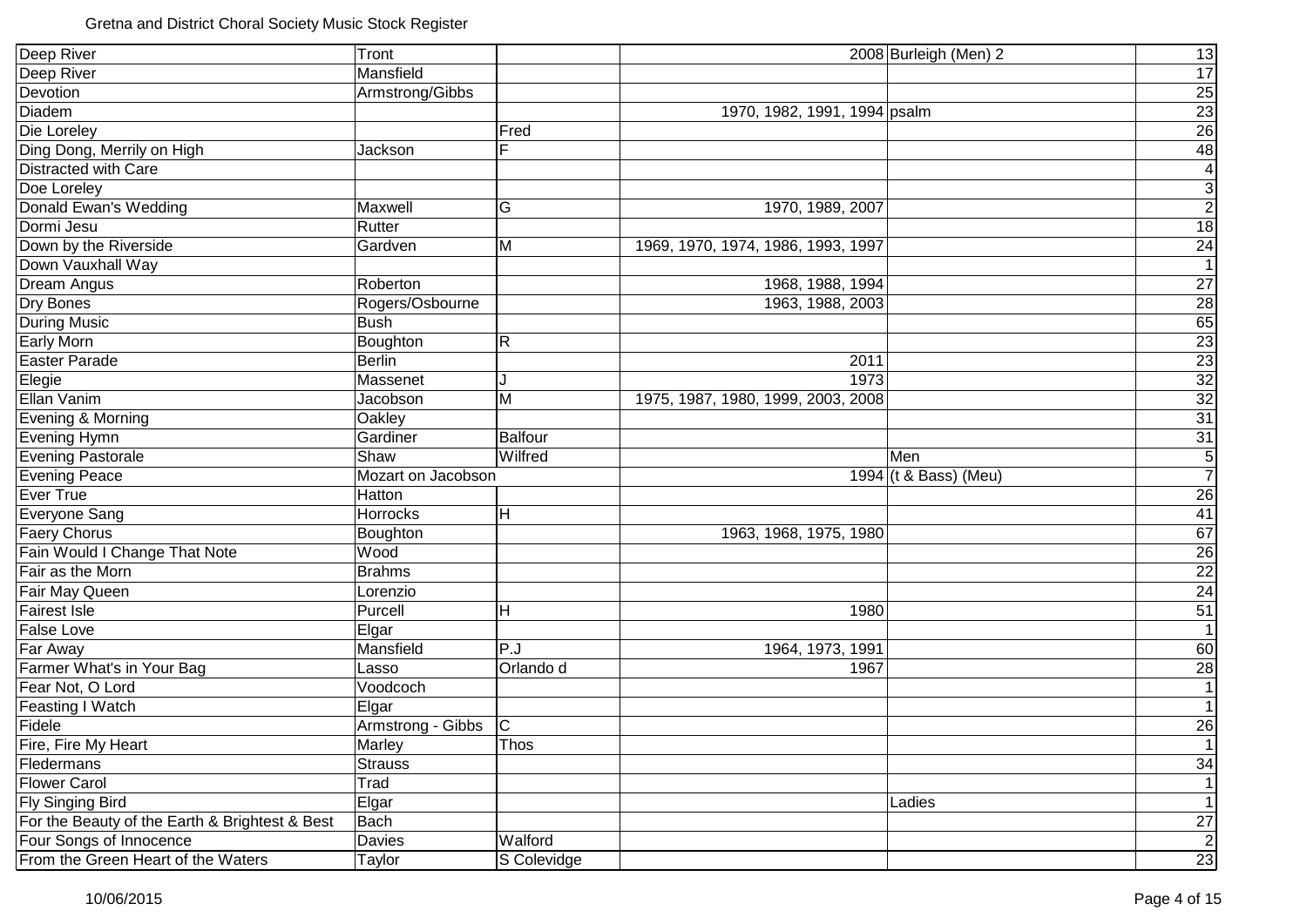| Deep River                                     | Tront                   |                |                                    | 2008 Burleigh (Men) 2 | 13                                                                    |
|------------------------------------------------|-------------------------|----------------|------------------------------------|-----------------------|-----------------------------------------------------------------------|
| Deep River                                     | Mansfield               |                |                                    |                       | 17                                                                    |
| Devotion                                       | Armstrong/Gibbs         |                |                                    |                       | <b>25</b>                                                             |
| Diadem                                         |                         |                | 1970, 1982, 1991, 1994 psalm       |                       |                                                                       |
| Die Loreley                                    |                         | Fred           |                                    |                       | $\frac{23}{26}$                                                       |
| Ding Dong, Merrily on High                     | Jackson                 | F              |                                    |                       | $\overline{48}$                                                       |
| Distracted with Care                           |                         |                |                                    |                       | $\overline{\mathbf{4}}$                                               |
| Doe Loreley                                    |                         |                |                                    |                       | $\overline{3}$                                                        |
| Donald Ewan's Wedding                          | Maxwell                 | G              | 1970, 1989, 2007                   |                       | $\overline{2}$                                                        |
| Dormi Jesu                                     | Rutter                  |                |                                    |                       | 18                                                                    |
| Down by the Riverside                          | Gardven                 | M              | 1969, 1970, 1974, 1986, 1993, 1997 |                       | 24                                                                    |
| Down Vauxhall Way                              |                         |                |                                    |                       | $\overline{1}$                                                        |
| Dream Angus                                    | Roberton                |                | 1968, 1988, 1994                   |                       | 27                                                                    |
| Dry Bones                                      | Rogers/Osbourne         |                | 1963, 1988, 2003                   |                       | $\overline{28}$                                                       |
| <b>During Music</b>                            | <b>Bush</b>             |                |                                    |                       | 65                                                                    |
| <b>Early Morn</b>                              | Boughton                | $\mathsf{R}$   |                                    |                       | $\overline{23}$                                                       |
| <b>Easter Parade</b>                           | <b>Berlin</b>           |                | 2011                               |                       | 23                                                                    |
| Elegie                                         | Massenet                | J              | 1973                               |                       |                                                                       |
| Ellan Vanim                                    | Jacobson                | M              | 1975, 1987, 1980, 1999, 2003, 2008 |                       | $\begin{array}{r}\n 32 \\  \hline\n 32 \\  \hline\n 31\n \end{array}$ |
| Evening & Morning                              | Oakley                  |                |                                    |                       |                                                                       |
| Evening Hymn                                   | Gardiner                | <b>Balfour</b> |                                    |                       | $\overline{31}$                                                       |
| <b>Evening Pastorale</b>                       | Shaw                    | Wilfred        |                                    | Men                   | $\sqrt{5}$                                                            |
| <b>Evening Peace</b>                           | Mozart on Jacobson      |                |                                    | 1994 (t & Bass) (Meu) | $\overline{7}$                                                        |
| <b>Ever True</b>                               | Hatton                  |                |                                    |                       | 26                                                                    |
| Everyone Sang                                  | Horrocks                | H              |                                    |                       | 41                                                                    |
| <b>Faery Chorus</b>                            | Boughton                |                | 1963, 1968, 1975, 1980             |                       | 67                                                                    |
| Fain Would I Change That Note                  | Wood                    |                |                                    |                       | 26                                                                    |
| Fair as the Morn                               | <b>Brahms</b>           |                |                                    |                       | $\overline{22}$                                                       |
| Fair May Queen                                 | Lorenzio                |                |                                    |                       | $\overline{24}$                                                       |
| <b>Fairest Isle</b>                            | Purcell                 | H              | 1980                               |                       | $\overline{51}$                                                       |
| False Love                                     | Elgar                   |                |                                    |                       | $\overline{1}$                                                        |
| Far Away                                       | Mansfield               | P.J            | 1964, 1973, 1991                   |                       | 60                                                                    |
| Farmer What's in Your Bag                      | Lasso                   | Orlando d      | 1967                               |                       | 28                                                                    |
| Fear Not, O Lord                               | Voodcoch                |                |                                    |                       | $\mathbf{1}$                                                          |
| Feasting I Watch                               | Elgar                   |                |                                    |                       | $\mathbf{1}$                                                          |
| Fidele                                         | Armstrong - Gibbs $ C $ |                |                                    |                       | 26                                                                    |
| Fire, Fire My Heart                            | Marley                  | Thos           |                                    |                       | $\mathbf{1}$                                                          |
| Fledermans                                     | <b>Strauss</b>          |                |                                    |                       | 34                                                                    |
| <b>Flower Carol</b>                            | Trad                    |                |                                    |                       | $\mathbf{1}$                                                          |
| Fly Singing Bird                               | Elgar                   |                |                                    | Ladies                | $\mathbf{1}$                                                          |
| For the Beauty of the Earth & Brightest & Best | <b>Bach</b>             |                |                                    |                       | $27\,$                                                                |
| Four Songs of Innocence                        | Davies                  | Walford        |                                    |                       | $\mathbf{2}$                                                          |
| From the Green Heart of the Waters             | Taylor                  | S Colevidge    |                                    |                       | $\overline{23}$                                                       |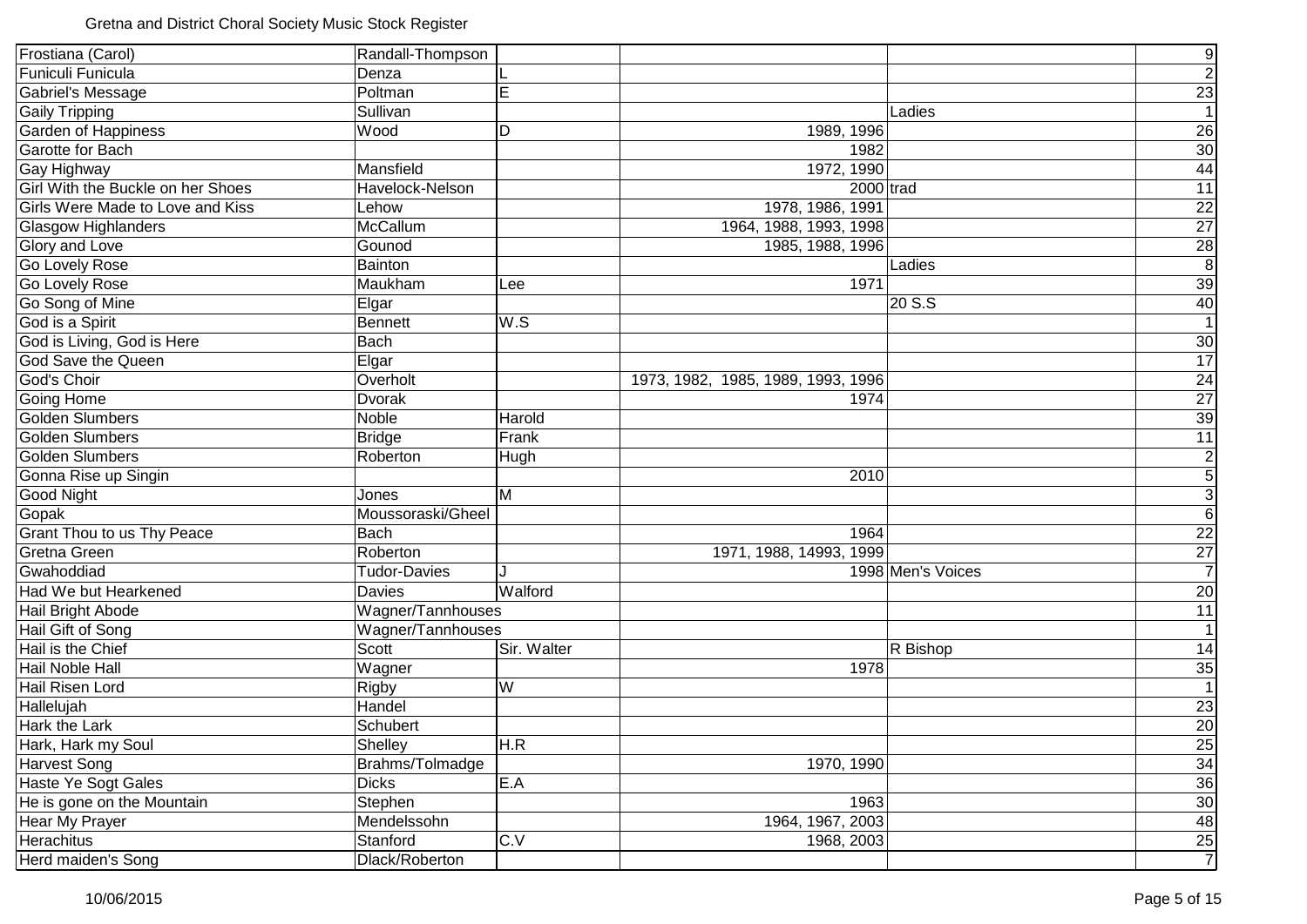| Frostiana (Carol)                       | Randall-Thompson    |             |                                    |                   | $\overline{9}$   |
|-----------------------------------------|---------------------|-------------|------------------------------------|-------------------|------------------|
| Funiculi Funicula                       | Denza               |             |                                    |                   | $\overline{2}$   |
| Gabriel's Message                       | Poltman             | E           |                                    |                   | 23               |
| <b>Gaily Tripping</b>                   | Sullivan            |             |                                    | Ladies            | 1                |
| <b>Garden of Happiness</b>              | Wood                | D           | 1989, 1996                         |                   | 26               |
| Garotte for Bach                        |                     |             | 1982                               |                   | 30 <sub>o</sub>  |
| Gay Highway                             | Mansfield           |             | 1972, 1990                         |                   | 44               |
| Girl With the Buckle on her Shoes       | Havelock-Nelson     |             | $2000$ trad                        |                   | 11               |
| <b>Girls Were Made to Love and Kiss</b> | Lehow               |             | 1978, 1986, 1991                   |                   | 22               |
| <b>Glasgow Highlanders</b>              | McCallum            |             | 1964, 1988, 1993, 1998             |                   | 27               |
| Glory and Love                          | Gounod              |             | 1985, 1988, 1996                   |                   | $\frac{28}{8}$   |
| <b>Go Lovely Rose</b>                   | Bainton             |             |                                    | Ladies            |                  |
| <b>Go Lovely Rose</b>                   | Maukham             | Lee         | 1971                               |                   | 39               |
| Go Song of Mine                         | Elgar               |             |                                    | 20 S.S            | 40               |
| God is a Spirit                         | <b>Bennett</b>      | W.S         |                                    |                   | $\overline{1}$   |
| God is Living, God is Here              | <b>Bach</b>         |             |                                    |                   | 30               |
| God Save the Queen                      | Elgar               |             |                                    |                   | $\overline{17}$  |
| God's Choir                             | Overholt            |             | 1973, 1982, 1985, 1989, 1993, 1996 |                   | 24               |
| <b>Going Home</b>                       | Dvorak              |             | 1974                               |                   | $\overline{27}$  |
| Golden Slumbers                         | Noble               | Harold      |                                    |                   | 39               |
| Golden Slumbers                         | <b>Bridge</b>       | Frank       |                                    |                   | 11               |
| Golden Slumbers                         | Roberton            | Hugh        |                                    |                   | $\mathbf{2}$     |
| Gonna Rise up Singin                    |                     |             | 2010                               |                   | $\overline{5}$   |
| Good Night                              | Jones               | M           |                                    |                   | $\overline{3}$   |
| Gopak                                   | Moussoraski/Gheel   |             |                                    |                   | $6 \overline{6}$ |
| Grant Thou to us Thy Peace              | Bach                |             | 1964                               |                   | 22               |
| <b>Gretna Green</b>                     | Roberton            |             | 1971, 1988, 14993, 1999            |                   | $\overline{27}$  |
| Gwahoddiad                              | <b>Tudor-Davies</b> |             |                                    | 1998 Men's Voices | $\overline{7}$   |
| Had We but Hearkened                    | <b>Davies</b>       | Walford     |                                    |                   | 20               |
| Hail Bright Abode                       | Wagner/Tannhouses   |             |                                    |                   | 11               |
| Hail Gift of Song                       | Wagner/Tannhouses   |             |                                    |                   | 1                |
| Hail is the Chief                       | Scott               | Sir. Walter |                                    | R Bishop          | 14               |
| Hail Noble Hall                         | Wagner              |             | 1978                               |                   | 35               |
| Hail Risen Lord                         | Rigby               | W           |                                    |                   | $\overline{1}$   |
| Hallelujah                              | Handel              |             |                                    |                   | 23               |
| <b>Hark the Lark</b>                    | Schubert            |             |                                    |                   | 20               |
| Hark, Hark my Soul                      | Shelley             | H.R         |                                    |                   | 25               |
| <b>Harvest Song</b>                     | Brahms/Tolmadge     |             | 1970, 1990                         |                   | 34               |
| Haste Ye Sogt Gales                     | <b>Dicks</b>        | E.A         |                                    |                   | 36               |
| He is gone on the Mountain              | Stephen             |             | 1963                               |                   | 30               |
| Hear My Prayer                          | Mendelssohn         |             | 1964, 1967, 2003                   |                   | 48               |
| <b>Herachitus</b>                       | Stanford            | C.V         | 1968, 2003                         |                   | $\frac{25}{7}$   |
| Herd maiden's Song                      | Dlack/Roberton      |             |                                    |                   |                  |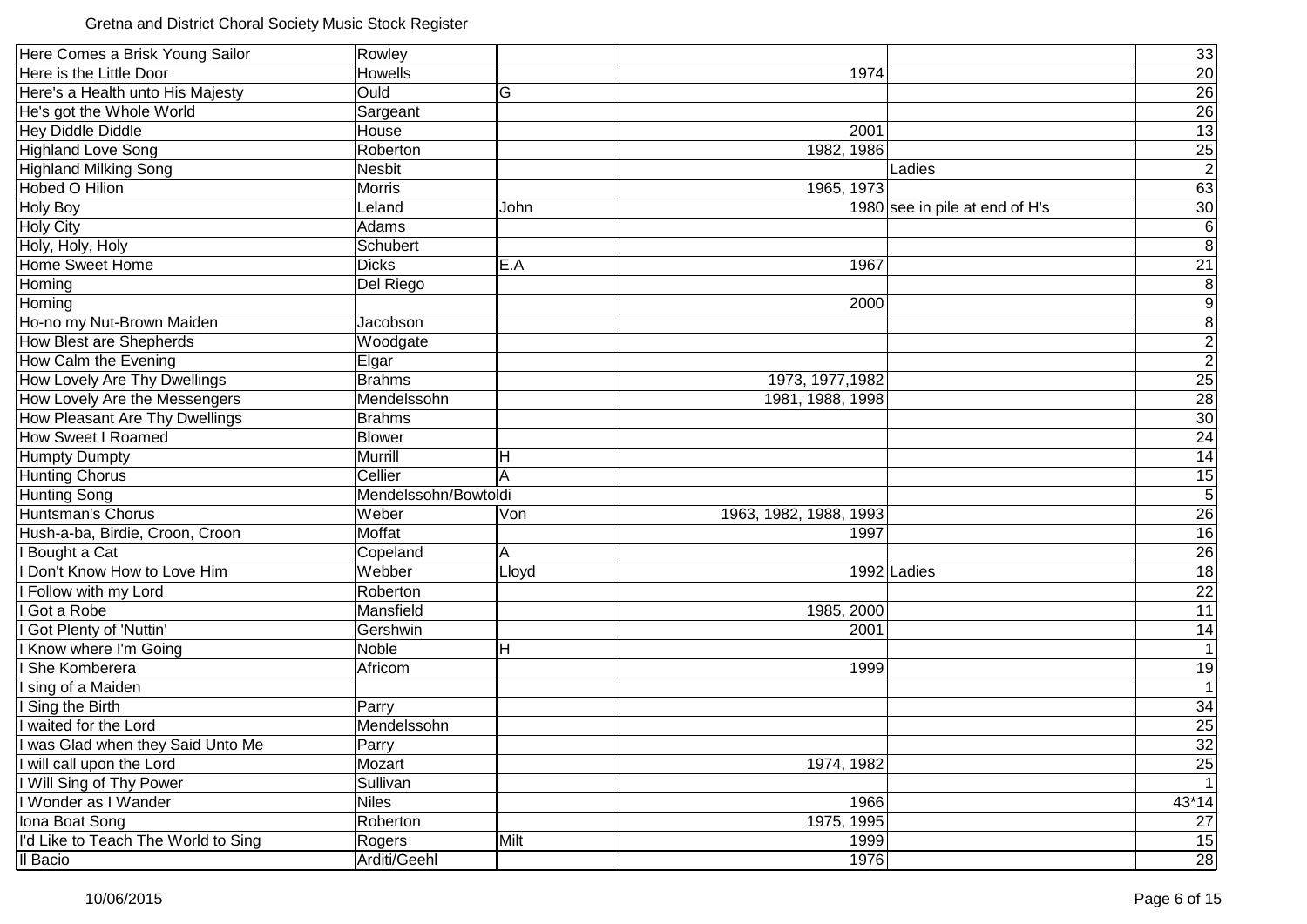| Here Comes a Brisk Young Sailor<br>33<br>Rowley<br>Here is the Little Door<br><b>Howells</b><br>20<br>1974<br>$\overline{26}$<br>Here's a Health unto His Majesty<br>Ould<br>G<br>$\overline{26}$<br>He's got the Whole World<br>Sargeant<br>13<br><b>Hey Diddle Diddle</b><br>House<br>2001 |
|----------------------------------------------------------------------------------------------------------------------------------------------------------------------------------------------------------------------------------------------------------------------------------------------|
|                                                                                                                                                                                                                                                                                              |
|                                                                                                                                                                                                                                                                                              |
|                                                                                                                                                                                                                                                                                              |
|                                                                                                                                                                                                                                                                                              |
|                                                                                                                                                                                                                                                                                              |
| <b>Highland Love Song</b><br>25<br>1982, 1986<br>Roberton                                                                                                                                                                                                                                    |
| <b>Highland Milking Song</b><br><b>Nesbit</b><br>Ladies                                                                                                                                                                                                                                      |
| <b>Hobed O Hilion</b><br>63<br>1965, 1973<br><b>Morris</b>                                                                                                                                                                                                                                   |
| <b>Holy Boy</b><br>30<br>1980 see in pile at end of H's<br>Leland<br>John                                                                                                                                                                                                                    |
| <b>Holy City</b><br>Adams                                                                                                                                                                                                                                                                    |
| Holy, Holy, Holy<br>Schubert                                                                                                                                                                                                                                                                 |
| 21<br>Home Sweet Home<br><b>Dicks</b><br>E.A<br>1967                                                                                                                                                                                                                                         |
| Homing<br>Del Riego                                                                                                                                                                                                                                                                          |
| Homing<br>2000                                                                                                                                                                                                                                                                               |
| Ho-no my Nut-Brown Maiden<br>Jacobson                                                                                                                                                                                                                                                        |
| <b>How Blest are Shepherds</b><br>Woodgate                                                                                                                                                                                                                                                   |
| How Calm the Evening<br>Elgar                                                                                                                                                                                                                                                                |
| 25<br>How Lovely Are Thy Dwellings<br><b>Brahms</b><br>1973, 1977, 1982                                                                                                                                                                                                                      |
| $\overline{28}$<br>How Lovely Are the Messengers<br>Mendelssohn<br>1981, 1988, 1998                                                                                                                                                                                                          |
| 30<br>How Pleasant Are Thy Dwellings<br><b>Brahms</b>                                                                                                                                                                                                                                        |
| 24<br><b>How Sweet I Roamed</b><br><b>Blower</b>                                                                                                                                                                                                                                             |
| 14<br><b>Humpty Dumpty</b><br>Murrill<br>H                                                                                                                                                                                                                                                   |
| <b>Hunting Chorus</b><br>Cellier<br>A<br>15                                                                                                                                                                                                                                                  |
| <b>Hunting Song</b><br>Mendelssohn/Bowtoldi                                                                                                                                                                                                                                                  |
| Weber<br>26<br>Huntsman's Chorus<br>1963, 1982, 1988, 1993<br>Von                                                                                                                                                                                                                            |
| Hush-a-ba, Birdie, Croon, Croon<br>Moffat<br>16<br>1997                                                                                                                                                                                                                                      |
| 26<br>I Bought a Cat<br>A<br>Copeland                                                                                                                                                                                                                                                        |
| 18<br>Don't Know How to Love Him<br>Webber<br>1992 Ladies<br>Lloyd                                                                                                                                                                                                                           |
| 22<br>I Follow with my Lord<br>Roberton                                                                                                                                                                                                                                                      |
| 11<br>Got a Robe<br>Mansfield<br>1985, 2000                                                                                                                                                                                                                                                  |
| Got Plenty of 'Nuttin'<br>14<br>Gershwin<br>2001                                                                                                                                                                                                                                             |
| Know where I'm Going<br>Noble<br>Н                                                                                                                                                                                                                                                           |
| 19<br>She Komberera<br>Africom<br>1999                                                                                                                                                                                                                                                       |
| sing of a Maiden                                                                                                                                                                                                                                                                             |
| Sing the Birth<br>34<br>Parry                                                                                                                                                                                                                                                                |
| 25<br>waited for the Lord<br>Mendelssohn                                                                                                                                                                                                                                                     |
| I was Glad when they Said Unto Me<br>Parry<br>32                                                                                                                                                                                                                                             |
| Mozart<br>I will call upon the Lord<br>1974, 1982<br>25                                                                                                                                                                                                                                      |
| I Will Sing of Thy Power<br>Sullivan                                                                                                                                                                                                                                                         |
| 43*14<br>I Wonder as I Wander<br><b>Niles</b><br>1966                                                                                                                                                                                                                                        |
| 27<br>Iona Boat Song<br>Roberton<br>1975, 1995                                                                                                                                                                                                                                               |
| I'd Like to Teach The World to Sing<br>15<br>Milt<br>1999<br>Rogers                                                                                                                                                                                                                          |
| Il Bacio<br>1976<br>Arditi/Geehl<br>28                                                                                                                                                                                                                                                       |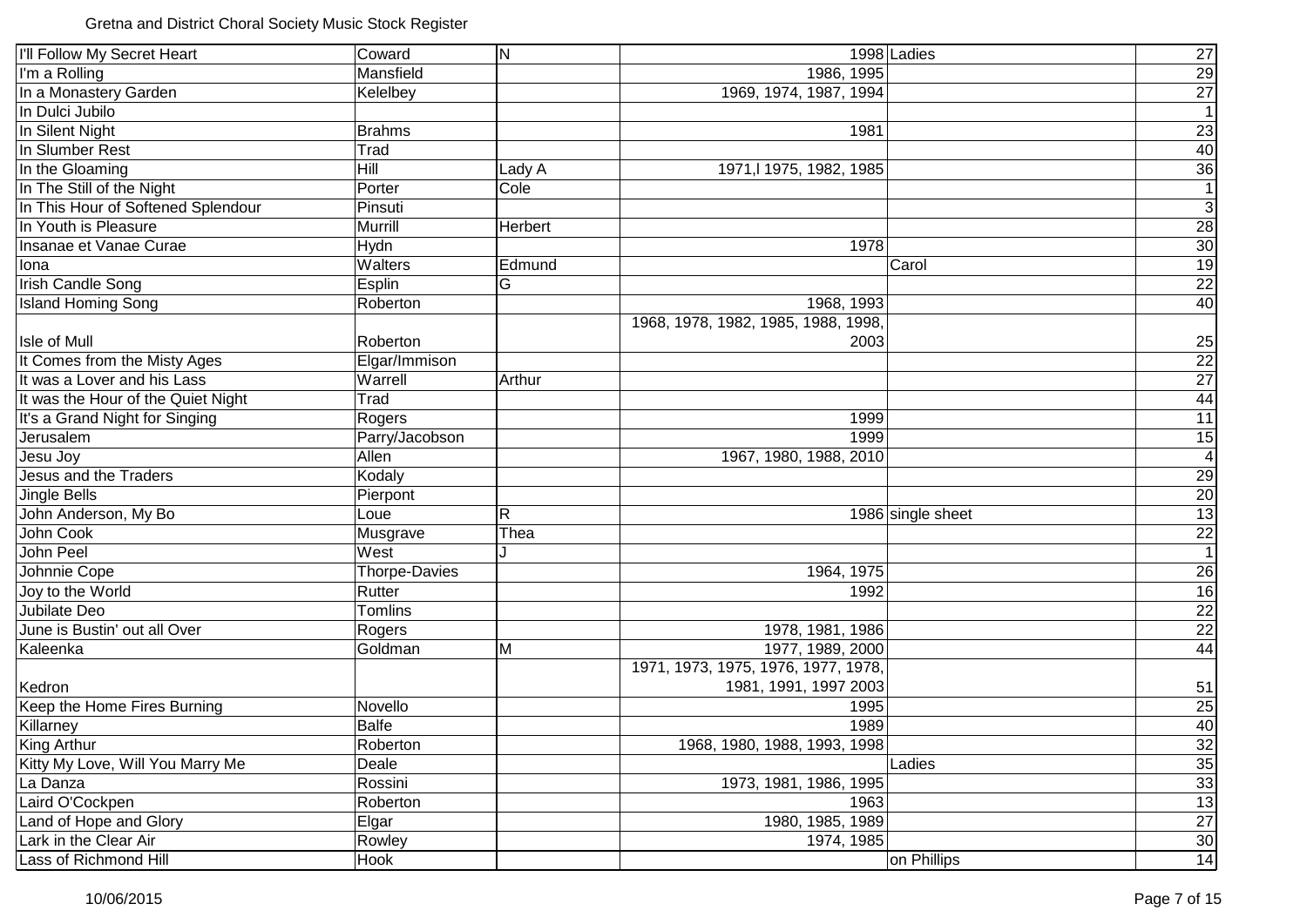| I'll Follow My Secret Heart        | Coward               | $\overline{\mathsf{N}}$ | 1998 Ladies                         | 27              |
|------------------------------------|----------------------|-------------------------|-------------------------------------|-----------------|
| I'm a Rolling                      | Mansfield            |                         | 1986, 1995                          | 29              |
| In a Monastery Garden              | Kelelbey             |                         | 1969, 1974, 1987, 1994              | $\overline{27}$ |
| In Dulci Jubilo                    |                      |                         |                                     | $\overline{1}$  |
| In Silent Night                    | <b>Brahms</b>        |                         | 1981                                | 23              |
| In Slumber Rest                    | Trad                 |                         |                                     | 40              |
| In the Gloaming                    | <b>Hill</b>          | Lady A                  | 1971, 1975, 1982, 1985              | 36              |
| In The Still of the Night          | Porter               | Cole                    |                                     | 1               |
| In This Hour of Softened Splendour | Pinsuti              |                         |                                     | $\overline{3}$  |
| In Youth is Pleasure               | Murrill              | Herbert                 |                                     | 28              |
| Insanae et Vanae Curae             | Hydn                 |                         | 1978                                | 30              |
| Iona                               | Walters              | Edmund                  | Carol                               | 19              |
| <b>Irish Candle Song</b>           | Esplin               | G                       |                                     | $\overline{22}$ |
| <b>Island Homing Song</b>          | Roberton             |                         | 1968, 1993                          | 40              |
|                                    |                      |                         | 1968, 1978, 1982, 1985, 1988, 1998, |                 |
| Isle of Mull                       | Roberton             |                         | 2003                                | 25              |
| It Comes from the Misty Ages       | Elgar/Immison        |                         |                                     |                 |
| It was a Lover and his Lass        | Warrell              | Arthur                  |                                     |                 |
| It was the Hour of the Quiet Night | Trad                 |                         |                                     | $\frac{22}{27}$ |
| It's a Grand Night for Singing     | Rogers               |                         | 1999                                | 11              |
| Jerusalem                          | Parry/Jacobson       |                         | 1999                                | 15              |
| Jesu Joy                           | Allen                |                         | 1967, 1980, 1988, 2010              | $\vert 4 \vert$ |
| Jesus and the Traders              | Kodaly               |                         |                                     | 29              |
| <b>Jingle Bells</b>                | Pierpont             |                         |                                     | 20              |
| John Anderson, My Bo               | Loue                 | $\overline{\mathsf{R}}$ | 1986 single sheet                   | 13              |
| John Cook                          | Musgrave             | Thea                    |                                     | $\frac{22}{1}$  |
| John Peel                          | West                 |                         |                                     |                 |
| Johnnie Cope                       | <b>Thorpe-Davies</b> |                         | 1964, 1975                          | 26              |
| Joy to the World                   | Rutter               |                         | 1992                                | 16              |
| Jubilate Deo                       | Tomlins              |                         |                                     | 22              |
| June is Bustin' out all Over       | Rogers               |                         | 1978, 1981, 1986                    | 22              |
| Kaleenka                           | Goldman              | M                       | 1977, 1989, 2000                    | 44              |
|                                    |                      |                         | 1971, 1973, 1975, 1976, 1977, 1978, |                 |
| Kedron                             |                      |                         | 1981, 1991, 1997 2003               | 51              |
| Keep the Home Fires Burning        | Novello              |                         | 1995                                | 25              |
| Killarney                          | <b>Balfe</b>         |                         | 1989                                | 40              |
| <b>King Arthur</b>                 | Roberton             |                         | 1968, 1980, 1988, 1993, 1998        | 32              |
| Kitty My Love, Will You Marry Me   | Deale                |                         | Ladies                              | 35              |
| La Danza                           | Rossini              |                         | 1973, 1981, 1986, 1995              | 33              |
| Laird O'Cockpen                    | Roberton             |                         | 1963                                | 13              |
| Land of Hope and Glory             | Elgar                |                         | 1980, 1985, 1989                    | 27              |
| Lark in the Clear Air              | Rowley               |                         | 1974, 1985                          | 30              |
| Lass of Richmond Hill              | Hook                 |                         | on Phillips                         | 14              |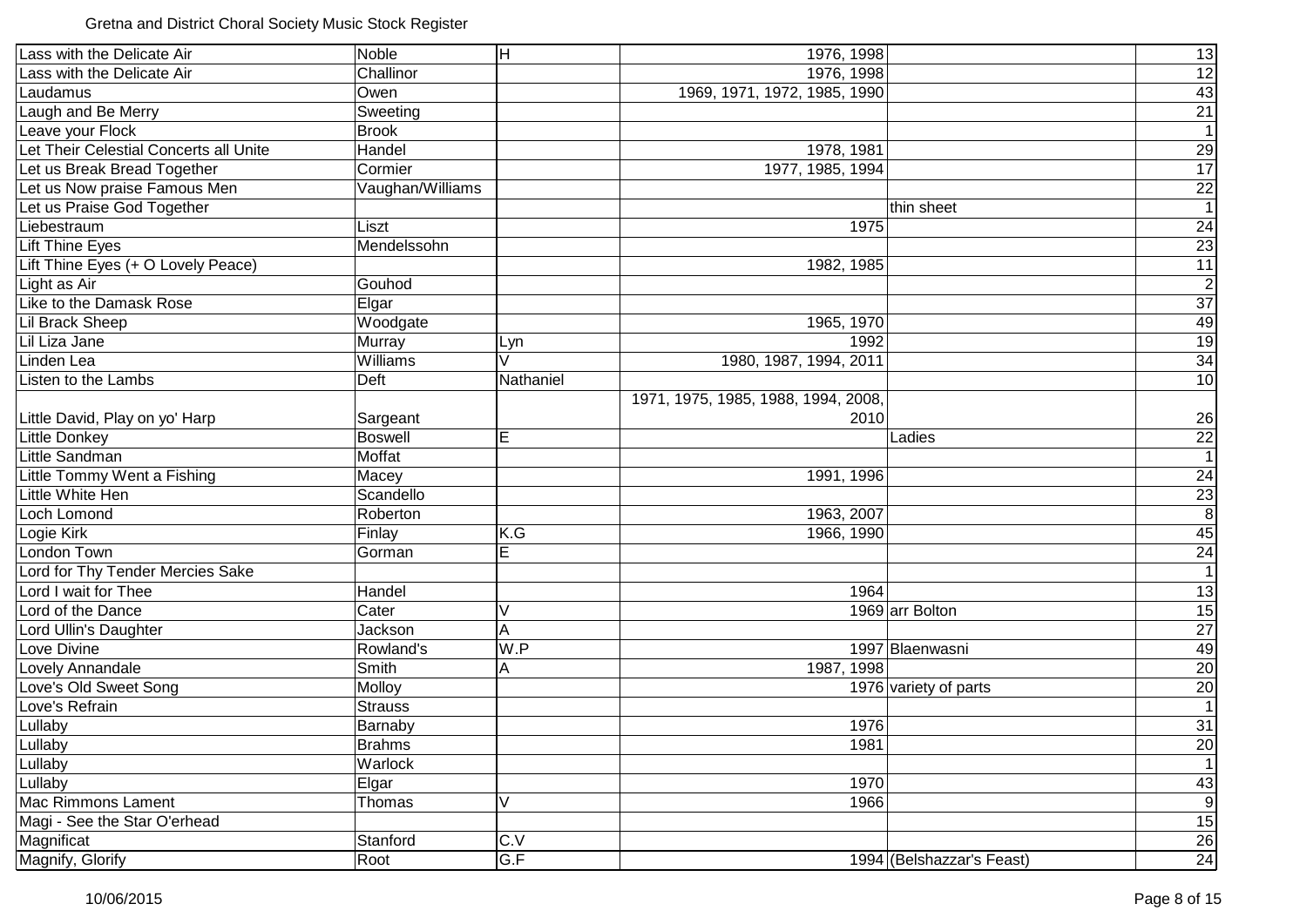Gretna and District Choral Society Music Stock Register

| Lass with the Delicate Air             | Noble            | $\overline{\mathsf{H}}$ | 1976, 1998                          |                           | 13                              |
|----------------------------------------|------------------|-------------------------|-------------------------------------|---------------------------|---------------------------------|
| Lass with the Delicate Air             | Challinor        |                         | 1976, 1998                          |                           |                                 |
| Laudamus                               | Owen             |                         | 1969, 1971, 1972, 1985, 1990        |                           | $\frac{12}{43}$ $\frac{43}{21}$ |
| Laugh and Be Merry                     | Sweeting         |                         |                                     |                           |                                 |
| Leave your Flock                       | <b>Brook</b>     |                         |                                     |                           | $\overline{1}$                  |
| Let Their Celestial Concerts all Unite | Handel           |                         | 1978, 1981                          |                           | 29                              |
| Let us Break Bread Together            | Cormier          |                         | 1977, 1985, 1994                    |                           | $\overline{17}$                 |
| Let us Now praise Famous Men           | Vaughan/Williams |                         |                                     |                           | $\overline{22}$                 |
| Let us Praise God Together             |                  |                         |                                     | thin sheet                | $\overline{1}$                  |
| Liebestraum                            | Liszt            |                         | 1975                                |                           | $\overline{24}$                 |
| <b>Lift Thine Eyes</b>                 | Mendelssohn      |                         |                                     |                           | $\overline{23}$                 |
| Lift Thine Eyes (+ O Lovely Peace)     |                  |                         | 1982, 1985                          |                           | $\overline{11}$                 |
| Light as Air                           | Gouhod           |                         |                                     |                           | $\overline{2}$                  |
| Like to the Damask Rose                | Elgar            |                         |                                     |                           | $\overline{37}$                 |
| <b>Lil Brack Sheep</b>                 | Woodgate         |                         | 1965, 1970                          |                           | 49                              |
| Lil Liza Jane                          | Murray           | Lyn                     | 1992                                |                           | 19                              |
| Linden Lea                             | Williams         | V                       | 1980, 1987, 1994, 2011              |                           | 34                              |
| Listen to the Lambs                    | Deft             | Nathaniel               |                                     |                           | 10                              |
|                                        |                  |                         | 1971, 1975, 1985, 1988, 1994, 2008, |                           |                                 |
| Little David, Play on yo' Harp         | Sargeant         |                         | 2010                                |                           | 26                              |
| <b>Little Donkey</b>                   | <b>Boswell</b>   | E                       |                                     | Ladies                    | 22                              |
| Little Sandman                         | Moffat           |                         |                                     |                           | $\overline{1}$                  |
| Little Tommy Went a Fishing            | Macey            |                         | 1991, 1996                          |                           | 24                              |
| Little White Hen                       | Scandello        |                         |                                     |                           | $\frac{23}{8}$                  |
| Loch Lomond                            | Roberton         |                         | 1963, 2007                          |                           |                                 |
| Logie Kirk                             | Finlay           | K.G                     | 1966, 1990                          |                           | 45                              |
| London Town                            | Gorman           | E                       |                                     |                           | 24                              |
| Lord for Thy Tender Mercies Sake       |                  |                         |                                     |                           | $\overline{1}$                  |
| Lord I wait for Thee                   | Handel           |                         | 1964                                |                           | $\overline{13}$                 |
| Lord of the Dance                      | Cater            | V                       |                                     | 1969 arr Bolton           | 15                              |
| Lord Ullin's Daughter                  | Jackson          | A                       |                                     |                           | 27                              |
| Love Divine                            | Rowland's        | W.P                     |                                     | 1997 Blaenwasni           | 49                              |
| Lovely Annandale                       | Smith            | А                       | 1987, 1998                          |                           | $\frac{20}{20}$                 |
| Love's Old Sweet Song                  | Molloy           |                         |                                     | 1976 variety of parts     |                                 |
| Love's Refrain                         | <b>Strauss</b>   |                         |                                     |                           |                                 |
| Lullaby                                | Barnaby          |                         | 1976                                |                           | 31                              |
| Lullaby                                | <b>Brahms</b>    |                         | 1981                                |                           | $20\overline{)}$                |
| Lullaby                                | Warlock          |                         |                                     |                           | $\overline{1}$                  |
| Lullaby                                | Elgar            |                         | 1970                                |                           | 43                              |
| <b>Mac Rimmons Lament</b>              | Thomas           | V                       | 1966                                |                           | $\overline{9}$                  |
| Magi - See the Star O'erhead           |                  |                         |                                     |                           | 15                              |
| Magnificat                             | Stanford         | C.V                     |                                     |                           | $\overline{26}$                 |
| Magnify, Glorify                       | Root             | G.F                     |                                     | 1994 (Belshazzar's Feast) | 24                              |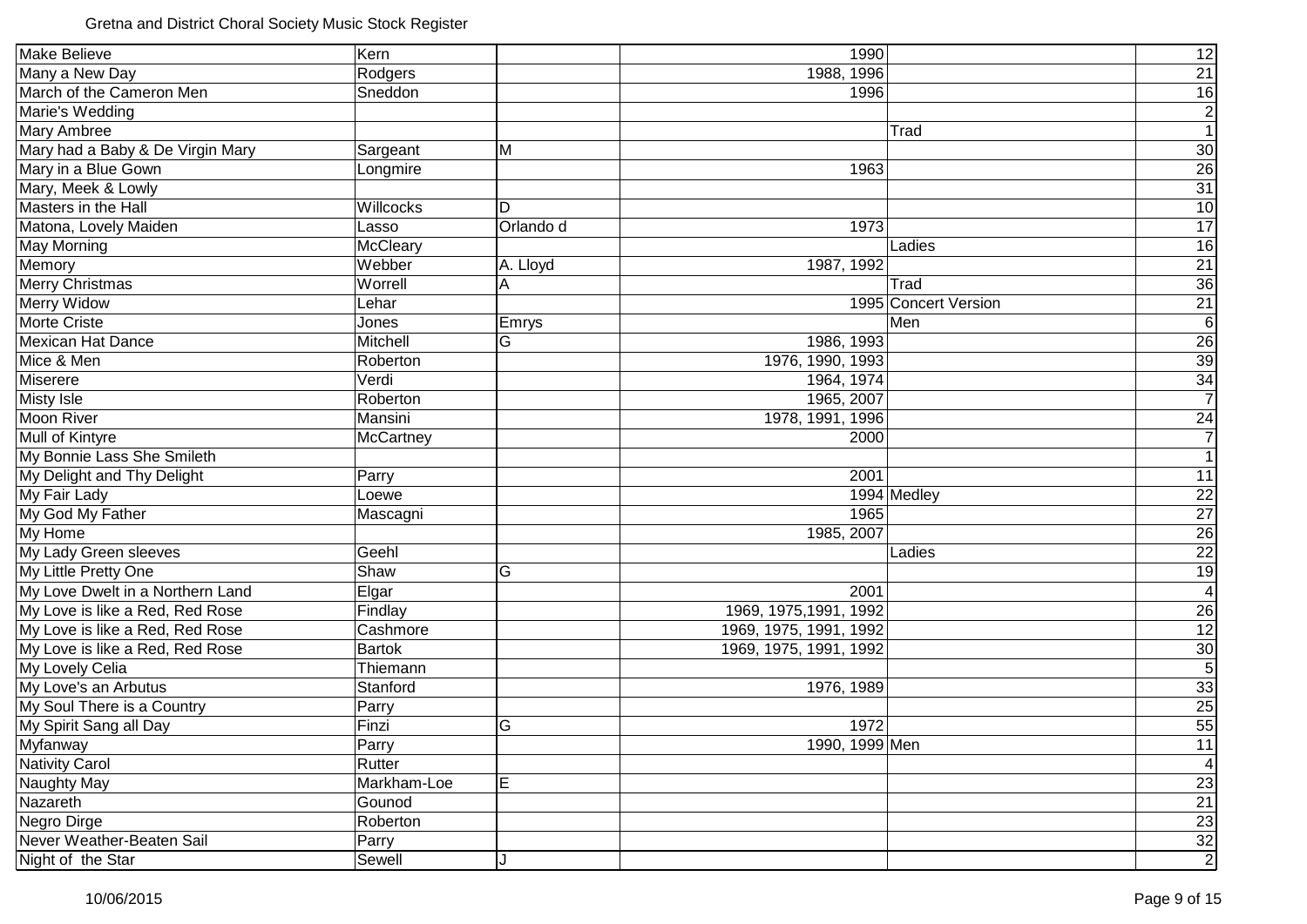| <b>Make Believe</b>              | Kern          |           | 1990                   |                      | 12              |
|----------------------------------|---------------|-----------|------------------------|----------------------|-----------------|
| Many a New Day                   | Rodgers       |           | 1988, 1996             |                      | 21              |
| March of the Cameron Men         | Sneddon       |           | 1996                   |                      | 16              |
| Marie's Wedding                  |               |           |                        |                      | $\mathbf{2}$    |
| <b>Mary Ambree</b>               |               |           |                        | Trad                 | $\overline{1}$  |
| Mary had a Baby & De Virgin Mary | Sargeant      | M         |                        |                      | 30 <sub>o</sub> |
| Mary in a Blue Gown              | Longmire      |           | 1963                   |                      | 26              |
| Mary, Meek & Lowly               |               |           |                        |                      | 31              |
| Masters in the Hall              | Willcocks     | D         |                        |                      | 10              |
| Matona, Lovely Maiden            | Lasso         | Orlando d | 1973                   |                      | 17              |
| May Morning                      | McCleary      |           |                        | Ladies               | 16              |
| Memory                           | Webber        | A. Lloyd  | 1987, 1992             |                      | 21              |
| <b>Merry Christmas</b>           | Worrell       | Α         |                        | Trad                 | 36              |
| Merry Widow                      | Lehar         |           |                        | 1995 Concert Version | $\overline{21}$ |
| <b>Morte Criste</b>              | Jones         | Emrys     |                        | Men                  | $\overline{6}$  |
| <b>Mexican Hat Dance</b>         | Mitchell      | G         | 1986, 1993             |                      | 26              |
| Mice & Men                       | Roberton      |           | 1976, 1990, 1993       |                      | 39              |
| Miserere                         | Verdi         |           | 1964, 1974             |                      | $\frac{34}{7}$  |
| <b>Misty Isle</b>                | Roberton      |           | 1965, 2007             |                      |                 |
| <b>Moon River</b>                | Mansini       |           | 1978, 1991, 1996       |                      | $\frac{24}{7}$  |
| Mull of Kintyre                  | McCartney     |           | 2000                   |                      |                 |
| My Bonnie Lass She Smileth       |               |           |                        |                      | 1               |
| My Delight and Thy Delight       | Parry         |           | 2001                   |                      | 11              |
| My Fair Lady                     | Loewe         |           |                        | 1994 Medley          |                 |
| My God My Father                 | Mascagni      |           | 1965                   |                      | $\frac{22}{27}$ |
| My Home                          |               |           | 1985, 2007             |                      | 26              |
| My Lady Green sleeves            | Geehl         |           |                        | Ladies               | 22              |
| My Little Pretty One             | Shaw          | G         |                        |                      | 19              |
| My Love Dwelt in a Northern Land | Elgar         |           | 2001                   |                      | $\vert 4 \vert$ |
| My Love is like a Red, Red Rose  | Findlay       |           | 1969, 1975, 1991, 1992 |                      | 26              |
| My Love is like a Red, Red Rose  | Cashmore      |           | 1969, 1975, 1991, 1992 |                      | 12              |
| My Love is like a Red, Red Rose  | <b>Bartok</b> |           | 1969, 1975, 1991, 1992 |                      | 30 <sub>o</sub> |
| My Lovely Celia                  | Thiemann      |           |                        |                      | $\overline{5}$  |
| My Love's an Arbutus             | Stanford      |           | 1976, 1989             |                      | 33              |
| My Soul There is a Country       | Parry         |           |                        |                      | 25              |
| My Spirit Sang all Day           | Finzi         | G         | 1972                   |                      | 55              |
| Myfanway                         | Parry         |           | 1990, 1999 Men         |                      | 11              |
| <b>Nativity Carol</b>            | Rutter        |           |                        |                      | $\vert 4 \vert$ |
| Naughty May                      | Markham-Loe   | Е         |                        |                      | 23              |
| Nazareth                         | Gounod        |           |                        |                      | $\overline{21}$ |
| Negro Dirge                      | Roberton      |           |                        |                      | 23              |
| Never Weather-Beaten Sail        | Parry         |           |                        |                      | $\overline{32}$ |
| Night of the Star                | Sewell        | . I       |                        |                      | $\overline{2}$  |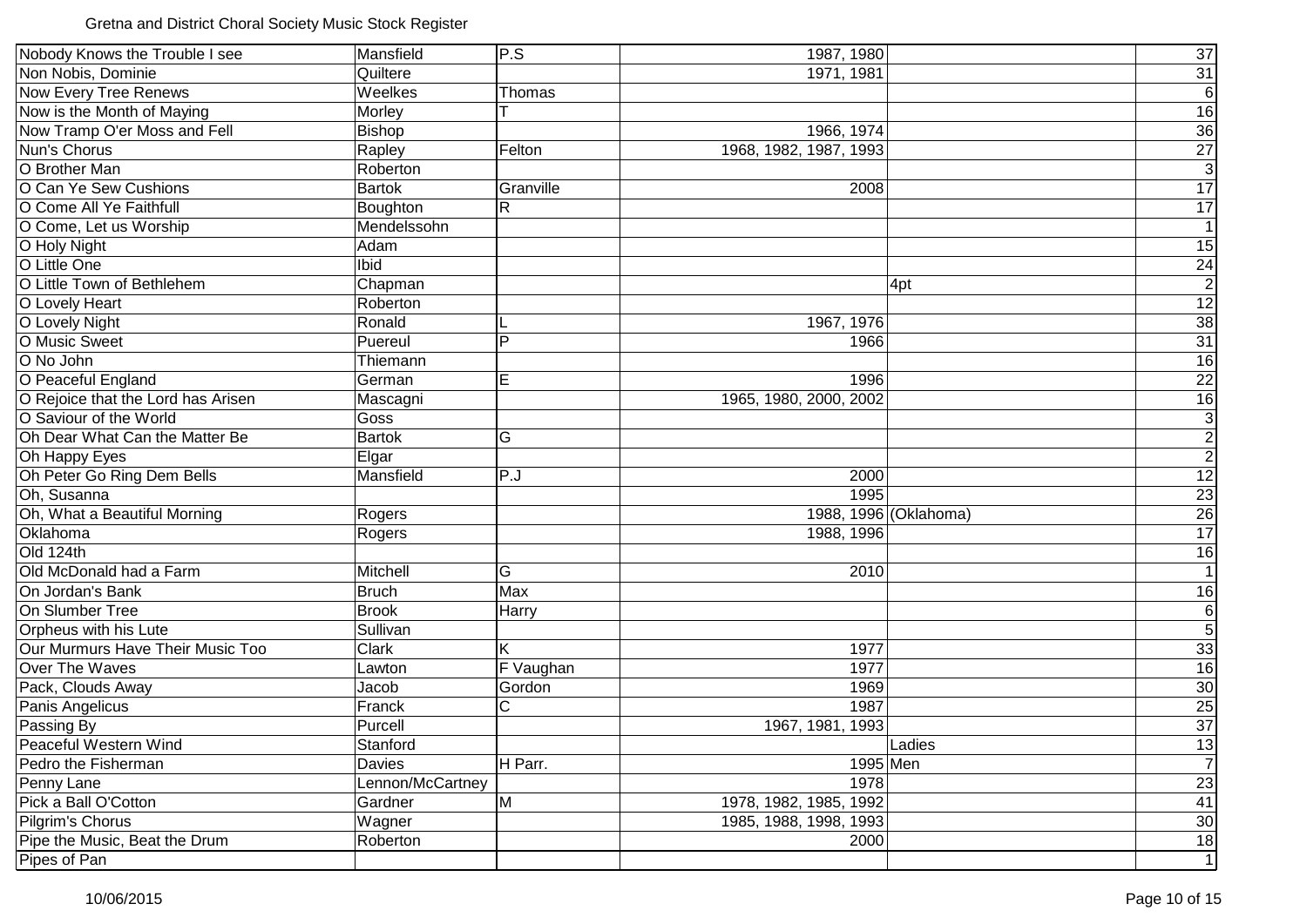Gretna and District Choral Society Music Stock Register

| Nobody Knows the Trouble I see     | Mansfield        | P.S            | 1987, 1980             |                       | $\overline{37}$                 |
|------------------------------------|------------------|----------------|------------------------|-----------------------|---------------------------------|
| Non Nobis, Dominie                 | Quiltere         |                | 1971, 1981             |                       | 31                              |
| Now Every Tree Renews              | Weelkes          | Thomas         |                        |                       | $\overline{6}$                  |
| Now is the Month of Maying         | Morley           |                |                        |                       | $\overline{16}$                 |
| Now Tramp O'er Moss and Fell       | <b>Bishop</b>    |                | 1966, 1974             |                       | 36                              |
| Nun's Chorus                       | Rapley           | Felton         | 1968, 1982, 1987, 1993 |                       | $\overline{27}$                 |
| O Brother Man                      | Roberton         |                |                        |                       | $\overline{3}$                  |
| O Can Ye Sew Cushions              | <b>Bartok</b>    | Granville      | 2008                   |                       | $\overline{17}$                 |
| O Come All Ye Faithfull            | Boughton         | $\mathsf{R}$   |                        |                       | 17                              |
| O Come, Let us Worship             | Mendelssohn      |                |                        |                       | $\mathbf{1}$                    |
| O Holy Night                       | Adam             |                |                        |                       | 15                              |
| O Little One                       | Ibid             |                |                        |                       |                                 |
| O Little Town of Bethlehem         | Chapman          |                |                        | 4pt                   | $\frac{24}{2}$                  |
| O Lovely Heart                     | Roberton         |                |                        |                       | $\overline{12}$                 |
| O Lovely Night                     | Ronald           |                | 1967, 1976             |                       | $\overline{38}$                 |
| O Music Sweet                      | Puereul          | P              | 1966                   |                       | $\overline{31}$                 |
| O No John                          | Thiemann         |                |                        |                       | 16                              |
| O Peaceful England                 | German           | E              | 1996                   |                       |                                 |
| O Rejoice that the Lord has Arisen | Mascagni         |                | 1965, 1980, 2000, 2002 |                       | $\frac{22}{16}$                 |
| O Saviour of the World             | Goss             |                |                        |                       |                                 |
| Oh Dear What Can the Matter Be     | <b>Bartok</b>    | G              |                        |                       | $\frac{3}{2}$                   |
| Oh Happy Eyes                      | Elgar            |                |                        |                       |                                 |
| Oh Peter Go Ring Dem Bells         | Mansfield        | P.J            | 2000                   |                       | 12                              |
| Oh, Susanna                        |                  |                | 1995                   |                       | $\overline{23}$                 |
| Oh, What a Beautiful Morning       | Rogers           |                |                        | 1988, 1996 (Oklahoma) | $\overline{26}$                 |
| Oklahoma                           | Rogers           |                | 1988, 1996             |                       | 17                              |
| Old 124th                          |                  |                |                        |                       | 16                              |
| Old McDonald had a Farm            | Mitchell         | G              | 2010                   |                       | $\overline{1}$                  |
| On Jordan's Bank                   | <b>Bruch</b>     | Max            |                        |                       | 16                              |
| On Slumber Tree                    | <b>Brook</b>     | Harry          |                        |                       | $\overline{6}$                  |
| Orpheus with his Lute              | Sullivan         |                |                        |                       | $\overline{5}$                  |
| Our Murmurs Have Their Music Too   | Clark            | Κ              | 1977                   |                       | 33                              |
| Over The Waves                     | Lawton           | F Vaughan      | 1977                   |                       | 16                              |
| Pack, Clouds Away                  | Jacob            | Gordon         | 1969                   |                       | $\frac{30}{25}$ $\frac{25}{37}$ |
| Panis Angelicus                    | Franck           | $\mathsf{C}$   | 1987                   |                       |                                 |
| Passing By                         | Purcell          |                | 1967, 1981, 1993       |                       |                                 |
| Peaceful Western Wind              | Stanford         |                |                        | Ladies                | $\frac{13}{7}$                  |
| Pedro the Fisherman                | Davies           | H Parr.        | 1995 Men               |                       |                                 |
| Penny Lane                         | Lennon/McCartney |                | 1978                   |                       | $\overline{23}$                 |
| Pick a Ball O'Cotton               | Gardner          | $\overline{M}$ | 1978, 1982, 1985, 1992 |                       | 41                              |
| Pilgrim's Chorus                   | Wagner           |                | 1985, 1988, 1998, 1993 |                       | 30 <sub>o</sub>                 |
| Pipe the Music, Beat the Drum      | Roberton         |                | 2000                   |                       | 18                              |
| Pipes of Pan                       |                  |                |                        |                       | $\overline{1}$                  |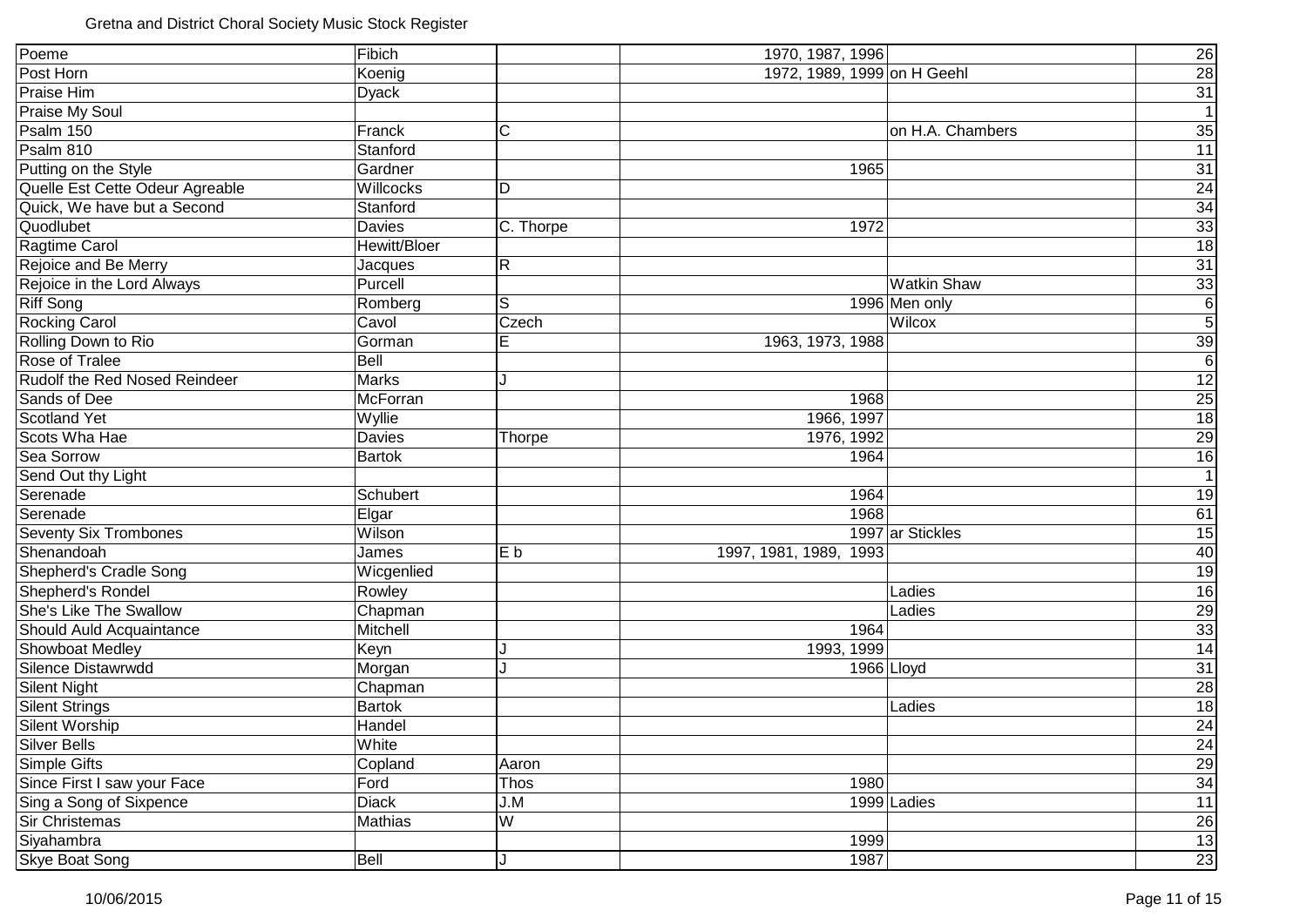| Poeme                           | Fibich              |                         | 1970, 1987, 1996            |                    | 26              |
|---------------------------------|---------------------|-------------------------|-----------------------------|--------------------|-----------------|
| Post Horn                       | Koenig              |                         | 1972, 1989, 1999 on H Geehl |                    | $\overline{28}$ |
| Praise Him                      | <b>Dyack</b>        |                         |                             |                    | 31              |
| <b>Praise My Soul</b>           |                     |                         |                             |                    | 1               |
| Psalm 150                       | Franck              | C                       |                             | on H.A. Chambers   | 35              |
| Psalm 810                       | Stanford            |                         |                             |                    | 11              |
| Putting on the Style            | Gardner             |                         | 1965                        |                    | 31              |
| Quelle Est Cette Odeur Agreable | Willcocks           | D                       |                             |                    | 24              |
| Quick, We have but a Second     | Stanford            |                         |                             |                    | 34              |
| Quodlubet                       | <b>Davies</b>       | C. Thorpe               | 1972                        |                    | $\overline{33}$ |
| Ragtime Carol                   | <b>Hewitt/Bloer</b> |                         |                             |                    | 18              |
| Rejoice and Be Merry            | Jacques             | R                       |                             |                    | 31              |
| Rejoice in the Lord Always      | Purcell             |                         |                             | <b>Watkin Shaw</b> | 33              |
| <b>Riff Song</b>                | Romberg             | S                       |                             | 1996 Men only      | $\overline{6}$  |
| <b>Rocking Carol</b>            | Cavol               | Czech                   |                             | Wilcox             | $\overline{5}$  |
| Rolling Down to Rio             | Gorman              | E                       | 1963, 1973, 1988            |                    | 39              |
| Rose of Tralee                  | <b>Bell</b>         |                         |                             |                    | $\overline{6}$  |
| Rudolf the Red Nosed Reindeer   | <b>Marks</b>        | J                       |                             |                    | $\overline{12}$ |
| Sands of Dee                    | McForran            |                         | 1968                        |                    | <b>25</b>       |
| <b>Scotland Yet</b>             | Wyllie              |                         | 1966, 1997                  |                    | 18              |
| Scots Wha Hae                   | Davies              | Thorpe                  | 1976, 1992                  |                    | 29              |
| Sea Sorrow                      | <b>Bartok</b>       |                         | 1964                        |                    | 16              |
| Send Out thy Light              |                     |                         |                             |                    | 1               |
| Serenade                        | Schubert            |                         | 1964                        |                    | 19              |
| Serenade                        | Elgar               |                         | 1968                        |                    | 61              |
| <b>Seventy Six Trombones</b>    | Wilson              |                         |                             | 1997 ar Stickles   | 15              |
| Shenandoah                      | James               | E b                     | 1997, 1981, 1989, 1993      |                    | 40              |
| Shepherd's Cradle Song          | Wicgenlied          |                         |                             |                    | 19              |
| Shepherd's Rondel               | Rowley              |                         |                             | Ladies             | 16              |
| She's Like The Swallow          | Chapman             |                         |                             | Ladies             | 29              |
| Should Auld Acquaintance        | Mitchell            |                         | 1964                        |                    | 33              |
| Showboat Medley                 | Keyn                |                         | 1993, 1999                  |                    | 14              |
| Silence Distawrwdd              | Morgan              | J                       | 1966 Lloyd                  |                    | 31              |
| <b>Silent Night</b>             | Chapman             |                         |                             |                    | 28              |
| <b>Silent Strings</b>           | <b>Bartok</b>       |                         |                             | Ladies             | $\overline{18}$ |
| Silent Worship                  | Handel              |                         |                             |                    | 24              |
| <b>Silver Bells</b>             | White               |                         |                             |                    | 24              |
| Simple Gifts                    | Copland             | Aaron                   |                             |                    | 29              |
| Since First I saw your Face     | Ford                | Thos                    | 1980                        |                    | 34              |
| Sing a Song of Sixpence         | <b>Diack</b>        | J.M                     |                             | $1999$ Ladies      | 11              |
| <b>Sir Christemas</b>           | Mathias             | $\overline{\mathsf{W}}$ |                             |                    | 26              |
| Siyahambra                      |                     |                         | 1999                        |                    | 13              |
| <b>Skye Boat Song</b>           | Bell                | J                       | 1987                        |                    | 23              |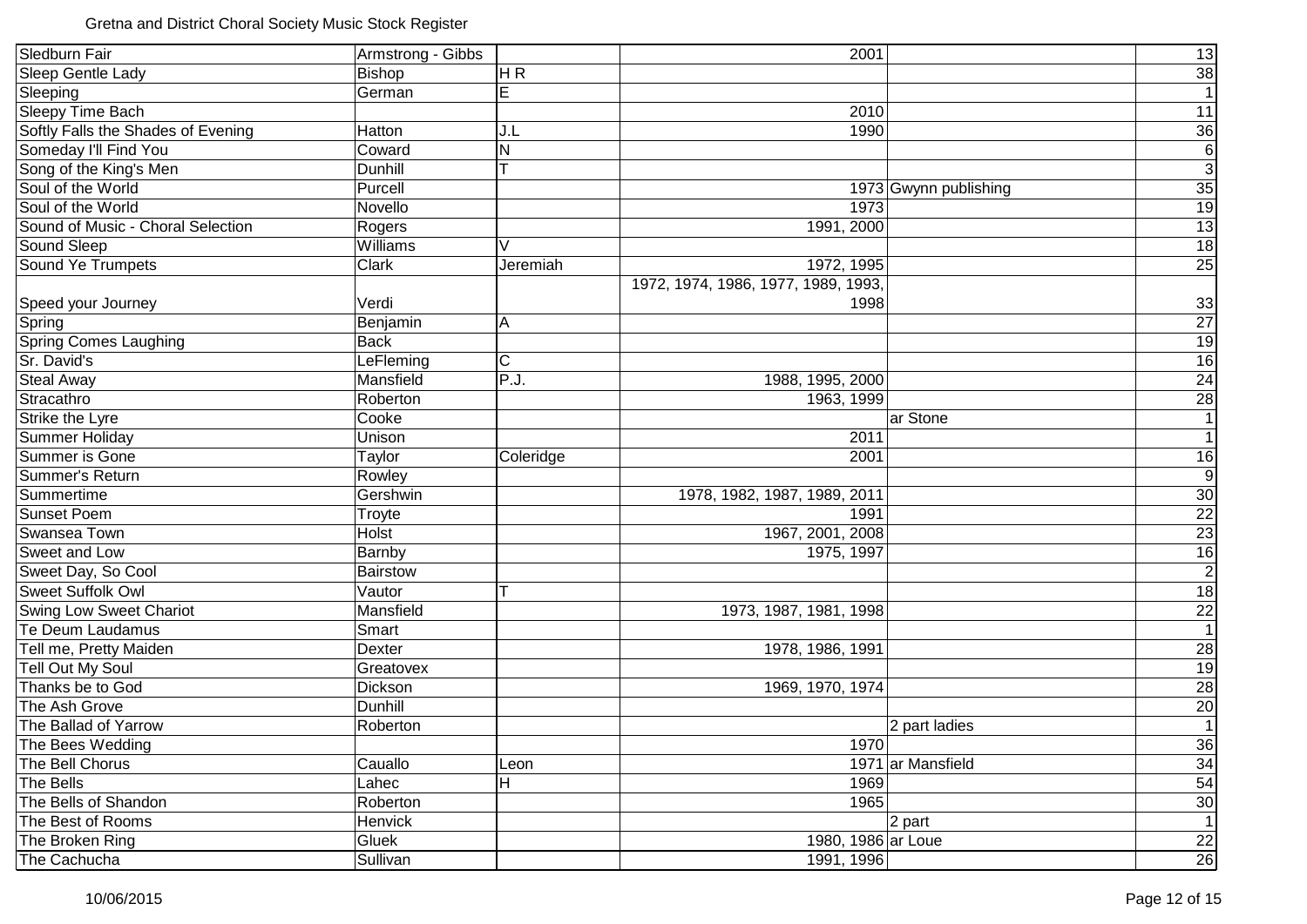| Sledburn Fair                      | Armstrong - Gibbs |           | 2001                                |                       | 13                                             |
|------------------------------------|-------------------|-----------|-------------------------------------|-----------------------|------------------------------------------------|
| Sleep Gentle Lady                  | Bishop            | HR        |                                     |                       | $\frac{38}{1}$                                 |
| Sleeping                           | German            | E         |                                     |                       |                                                |
| <b>Sleepy Time Bach</b>            |                   |           | 2010                                |                       | $\overline{11}$                                |
| Softly Falls the Shades of Evening | Hatton            | J.L       | 1990                                |                       | $\overline{36}$                                |
| Someday I'll Find You              | Coward            | N         |                                     |                       | $\overline{6}$                                 |
| Song of the King's Men             | <b>Dunhill</b>    | т         |                                     |                       | $\overline{3}$                                 |
| Soul of the World                  | Purcell           |           |                                     | 1973 Gwynn publishing | $\overline{35}$                                |
| Soul of the World                  | Novello           |           | 1973                                |                       | 19                                             |
| Sound of Music - Choral Selection  | Rogers            |           | 1991, 2000                          |                       | $\overline{13}$                                |
| Sound Sleep                        | Williams          | V         |                                     |                       | 18                                             |
| Sound Ye Trumpets                  | Clark             | Jeremiah  | 1972, 1995                          |                       | $\overline{25}$                                |
|                                    |                   |           | 1972, 1974, 1986, 1977, 1989, 1993, |                       |                                                |
| Speed your Journey                 | Verdi             |           | 1998                                |                       |                                                |
| Spring                             | Benjamin          | Α         |                                     |                       | $\frac{33}{27}$                                |
| <b>Spring Comes Laughing</b>       | <b>Back</b>       |           |                                     |                       |                                                |
| Sr. David's                        | LeFleming         | C         |                                     |                       |                                                |
| <b>Steal Away</b>                  | Mansfield         | P.J.      | 1988, 1995, 2000                    |                       | $\frac{19}{16}$<br>$\frac{24}{28}$             |
| Stracathro                         | Roberton          |           | 1963, 1999                          |                       |                                                |
| Strike the Lyre                    | Cooke             |           |                                     | ar Stone              | 1                                              |
| Summer Holiday                     | Unison            |           | 2011                                |                       | $\overline{1}$                                 |
| Summer is Gone                     | Taylor            | Coleridge | 2001                                |                       | 16                                             |
| Summer's Return                    | Rowley            |           |                                     |                       | $\overline{9}$                                 |
| Summertime                         | Gershwin          |           | 1978, 1982, 1987, 1989, 2011        |                       | 30                                             |
| <b>Sunset Poem</b>                 | Troyte            |           | 1991                                |                       | $\frac{22}{23}$                                |
| Swansea Town                       | Holst             |           | 1967, 2001, 2008                    |                       |                                                |
| Sweet and Low                      | Barnby            |           | 1975, 1997                          |                       | 16                                             |
| Sweet Day, So Cool                 | <b>Bairstow</b>   |           |                                     |                       | $\overline{2}$                                 |
| <b>Sweet Suffolk Owl</b>           | Vautor            | Т         |                                     |                       | $\overline{18}$                                |
| <b>Swing Low Sweet Chariot</b>     | Mansfield         |           | 1973, 1987, 1981, 1998              |                       | $\frac{22}{1}$                                 |
| Te Deum Laudamus                   | Smart             |           |                                     |                       |                                                |
| Tell me, Pretty Maiden             | Dexter            |           | 1978, 1986, 1991                    |                       |                                                |
| <b>Tell Out My Soul</b>            | Greatovex         |           |                                     |                       | $\frac{28}{19}$ $\frac{19}{28}$ $\frac{20}{1}$ |
| Thanks be to God                   | Dickson           |           | 1969, 1970, 1974                    |                       |                                                |
| The Ash Grove                      | Dunhill           |           |                                     |                       |                                                |
| The Ballad of Yarrow               | Roberton          |           |                                     | 2 part ladies         |                                                |
| The Bees Wedding                   |                   |           | 1970                                |                       | 36                                             |
| The Bell Chorus                    | Cauallo           | Leon      |                                     | 1971 ar Mansfield     | 34                                             |
| The Bells                          | Lahec             | H         | 1969                                |                       | 54                                             |
| The Bells of Shandon               | Roberton          |           | 1965                                |                       | 30                                             |
| The Best of Rooms                  | Henvick           |           |                                     | 2 part                | $\overline{1}$                                 |
| The Broken Ring                    | Gluek             |           | 1980, 1986 ar Loue                  |                       | $\overline{22}$                                |
| The Cachucha                       | Sullivan          |           | 1991, 1996                          |                       | 26                                             |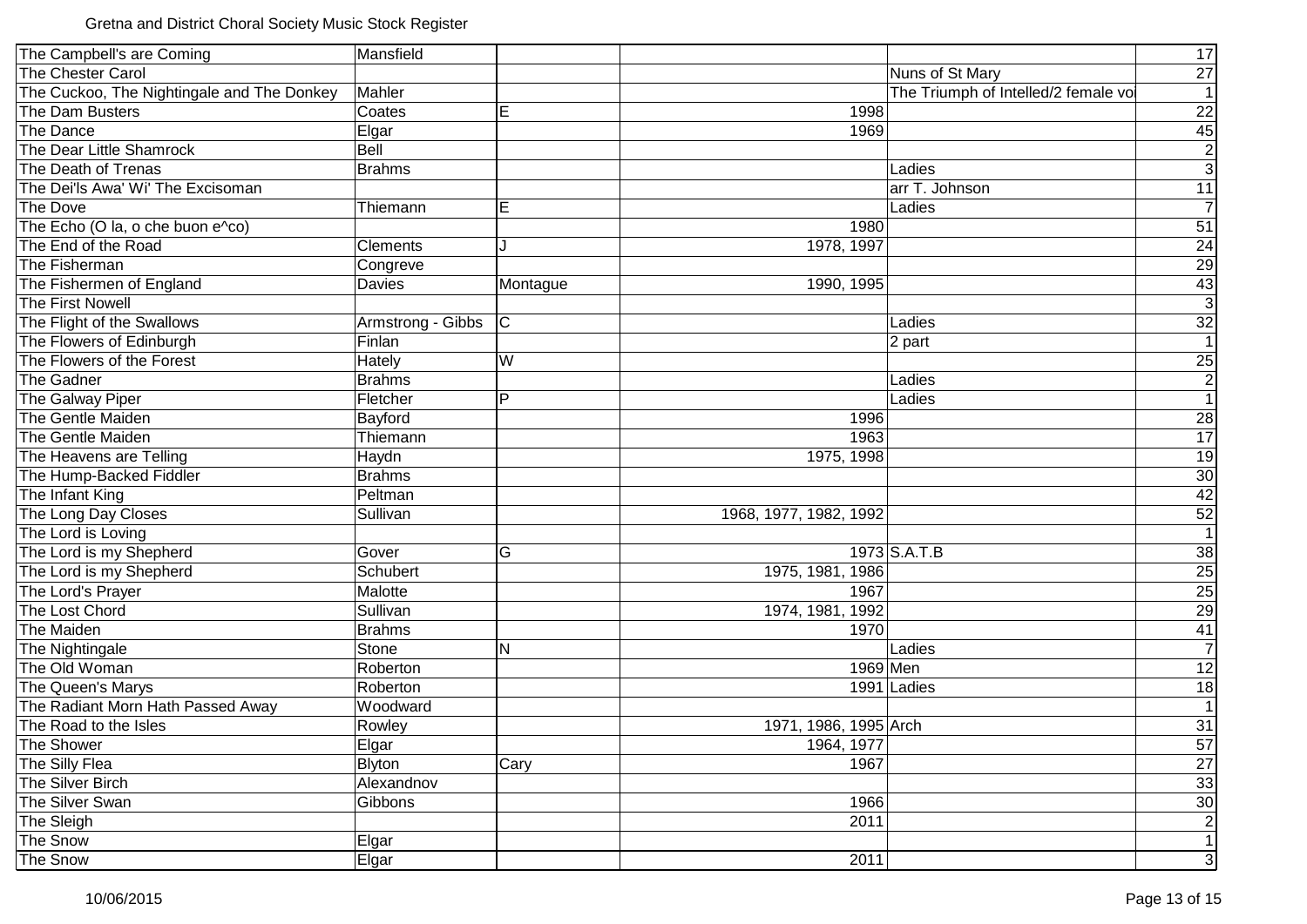| The Campbell's are Coming                  | Mansfield         |                         |                        |                                      | 17                  |
|--------------------------------------------|-------------------|-------------------------|------------------------|--------------------------------------|---------------------|
| The Chester Carol                          |                   |                         |                        | Nuns of St Mary                      | 27                  |
| The Cuckoo, The Nightingale and The Donkey | Mahler            |                         |                        | The Triumph of Intelled/2 female vol | 1                   |
| The Dam Busters                            | Coates            | Е                       | 1998                   |                                      | 22                  |
| The Dance                                  | Elgar             |                         | 1969                   |                                      | 45                  |
| The Dear Little Shamrock                   | Bell              |                         |                        |                                      | $\mathbf{2}$        |
| The Death of Trenas                        | <b>Brahms</b>     |                         |                        | Ladies                               | $\overline{\omega}$ |
| The Dei'ls Awa' Wi' The Excisoman          |                   |                         |                        | arr T. Johnson                       | 11                  |
| The Dove                                   | Thiemann          | E                       |                        | Ladies                               | $\overline{7}$      |
| The Echo (O la, o che buon e^co)           |                   |                         | 1980                   |                                      | 51                  |
| The End of the Road                        | <b>Clements</b>   |                         | 1978, 1997             |                                      | 24                  |
| The Fisherman                              | Congreve          |                         |                        |                                      | $\overline{29}$     |
| The Fishermen of England                   | Davies            | Montague                | 1990, 1995             |                                      | 43                  |
| The First Nowell                           |                   |                         |                        |                                      | $\overline{3}$      |
| The Flight of the Swallows                 | Armstrong - Gibbs | C                       |                        | Ladies                               | $\frac{32}{1}$      |
| The Flowers of Edinburgh                   | Finlan            |                         |                        | 2 part                               |                     |
| The Flowers of the Forest                  | Hately            | W                       |                        |                                      |                     |
| The Gadner                                 | <b>Brahms</b>     |                         |                        | Ladies                               | $\frac{25}{2}$      |
| The Galway Piper                           | Fletcher          | P                       |                        | Ladies                               | 1                   |
| The Gentle Maiden                          | Bayford           |                         | 1996                   |                                      | 28                  |
| The Gentle Maiden                          | Thiemann          |                         | 1963                   |                                      | 17                  |
| The Heavens are Telling                    | Haydn             |                         | 1975, 1998             |                                      | 19                  |
| The Hump-Backed Fiddler                    | <b>Brahms</b>     |                         |                        |                                      | 30                  |
| The Infant King                            | Peltman           |                         |                        |                                      | 42                  |
| The Long Day Closes                        | Sullivan          |                         | 1968, 1977, 1982, 1992 |                                      | 52                  |
| The Lord is Loving                         |                   |                         |                        |                                      | $\overline{1}$      |
| The Lord is my Shepherd                    | Gover             | G                       |                        | $1973$ S.A.T.B                       | 38                  |
| The Lord is my Shepherd                    | Schubert          |                         | 1975, 1981, 1986       |                                      | 25                  |
| The Lord's Prayer                          | Malotte           |                         | 1967                   |                                      | 25                  |
| The Lost Chord                             | Sullivan          |                         | 1974, 1981, 1992       |                                      | 29                  |
| The Maiden                                 | <b>Brahms</b>     |                         | 1970                   |                                      | 41                  |
| The Nightingale                            | Stone             | $\overline{\mathsf{N}}$ |                        | Ladies                               | $\overline{7}$      |
| The Old Woman                              | Roberton          |                         | 1969 Men               |                                      | 12                  |
| The Queen's Marys                          | Roberton          |                         |                        | 1991 Ladies                          | 18                  |
| The Radiant Morn Hath Passed Away          | Woodward          |                         |                        |                                      | 1                   |
| The Road to the Isles                      | Rowley            |                         | 1971, 1986, 1995 Arch  |                                      | 31                  |
| The Shower                                 | Elgar             |                         | 1964, 1977             |                                      | 57                  |
| The Silly Flea                             | Blyton            | Cary                    | 1967                   |                                      | 27                  |
| The Silver Birch                           | Alexandnov        |                         |                        |                                      | 33                  |
| The Silver Swan                            | Gibbons           |                         | 1966                   |                                      | 30                  |
| The Sleigh                                 |                   |                         | 2011                   |                                      | $\mathbf{2}$        |
| The Snow                                   | Elgar             |                         |                        |                                      | 1                   |
| The Snow                                   | Elgar             |                         | 2011                   |                                      | 3 <sup>1</sup>      |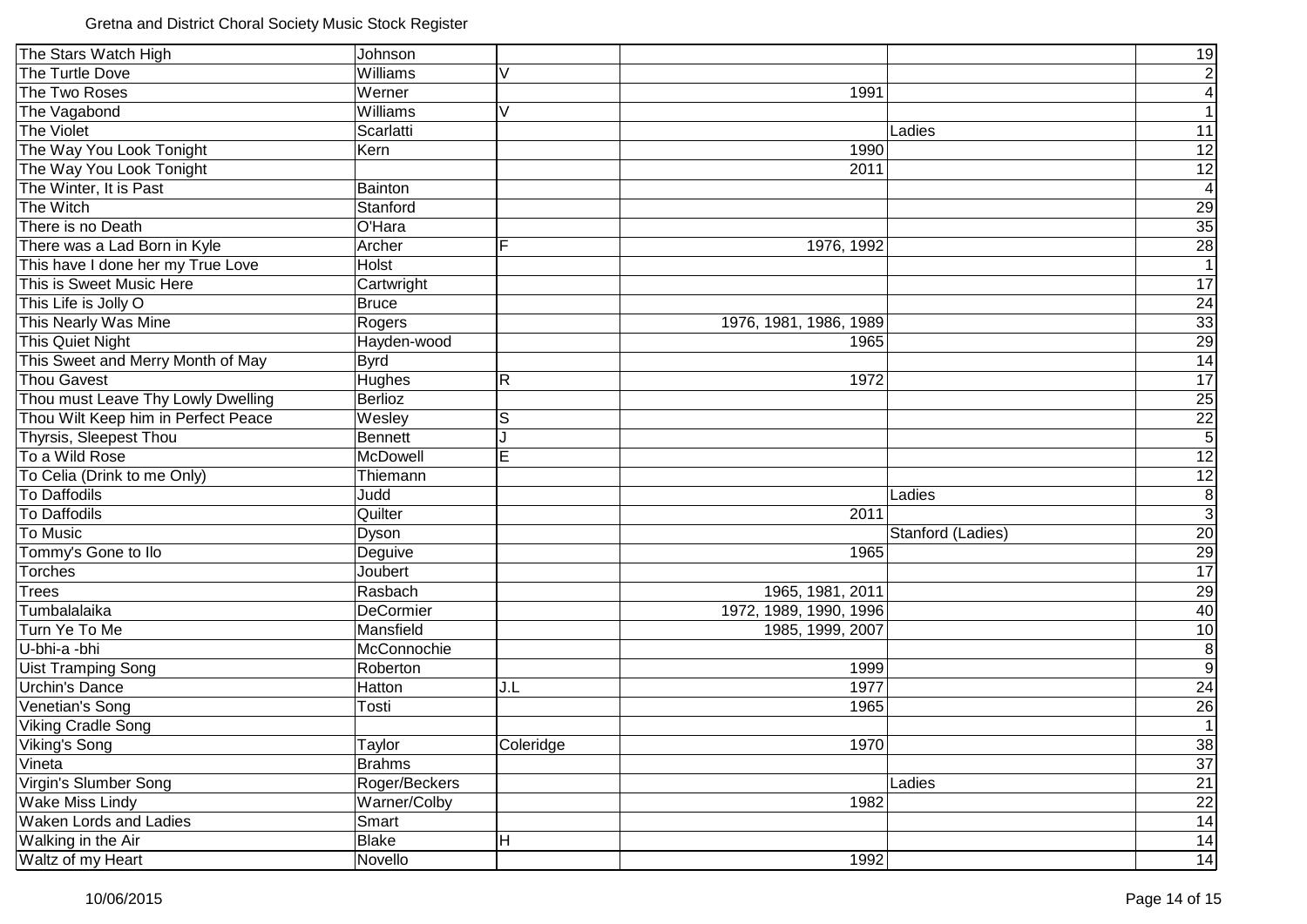| The Stars Watch High                | Johnson         |                         |                        |                   | 19              |
|-------------------------------------|-----------------|-------------------------|------------------------|-------------------|-----------------|
| The Turtle Dove                     | Williams        | V                       |                        |                   | $\mathbf{2}$    |
| The Two Roses                       | Werner          |                         | 1991                   |                   | $\vert 4 \vert$ |
| The Vagabond                        | Williams        | V                       |                        |                   | 1               |
| The Violet                          | Scarlatti       |                         |                        | Ladies            | 11              |
| The Way You Look Tonight            | Kern            |                         | 1990                   |                   | 12              |
| The Way You Look Tonight            |                 |                         | 2011                   |                   | 12              |
| The Winter, It is Past              | <b>Bainton</b>  |                         |                        |                   | $\overline{4}$  |
| The Witch                           | Stanford        |                         |                        |                   | 29              |
| There is no Death                   | O'Hara          |                         |                        |                   | 35              |
| There was a Lad Born in Kyle        | Archer          | F                       | 1976, 1992             |                   | $\overline{28}$ |
| This have I done her my True Love   | Holst           |                         |                        |                   | $\overline{1}$  |
| This is Sweet Music Here            | Cartwright      |                         |                        |                   | 17              |
| This Life is Jolly O                | <b>Bruce</b>    |                         |                        |                   | 24              |
| This Nearly Was Mine                | Rogers          |                         | 1976, 1981, 1986, 1989 |                   | 33              |
| This Quiet Night                    | Hayden-wood     |                         | 1965                   |                   | $\overline{29}$ |
| This Sweet and Merry Month of May   | <b>Byrd</b>     |                         |                        |                   | 14              |
| <b>Thou Gavest</b>                  | Hughes          | $\overline{\mathsf{R}}$ | 1972                   |                   | 17              |
| Thou must Leave Thy Lowly Dwelling  | Berlioz         |                         |                        |                   | 25              |
| Thou Wilt Keep him in Perfect Peace | Wesley          | S                       |                        |                   |                 |
| Thyrsis, Sleepest Thou              | <b>Bennett</b>  |                         |                        |                   | $\frac{22}{5}$  |
| To a Wild Rose                      | <b>McDowell</b> | E                       |                        |                   | 12              |
| To Celia (Drink to me Only)         | Thiemann        |                         |                        |                   | 12              |
| <b>To Daffodils</b>                 | Judd            |                         |                        | Ladies            | $\bf 8$         |
| To Daffodils                        | Quilter         |                         | 2011                   |                   | <u>ပ</u>        |
| To Music                            | Dyson           |                         |                        | Stanford (Ladies) | 20              |
| Tommy's Gone to Ilo                 | Deguive         |                         | 1965                   |                   | 29              |
| <b>Torches</b>                      | Joubert         |                         |                        |                   | 17              |
| <b>Trees</b>                        | Rasbach         |                         | 1965, 1981, 2011       |                   | 29              |
| Tumbalalaika                        | DeCormier       |                         | 1972, 1989, 1990, 1996 |                   | 40              |
| Turn Ye To Me                       | Mansfield       |                         | 1985, 1999, 2007       |                   | 10              |
| U-bhi-a -bhi                        | McConnochie     |                         |                        |                   | $\bf{8}$        |
| <b>Uist Tramping Song</b>           | Roberton        |                         | 1999                   |                   | $\overline{9}$  |
| Urchin's Dance                      | Hatton          | J.L                     | 1977                   |                   | 24              |
| Venetian's Song                     | Tosti           |                         | 1965                   |                   | 26              |
| <b>Viking Cradle Song</b>           |                 |                         |                        |                   | $\overline{1}$  |
| <b>Viking's Song</b>                | Taylor          | Coleridge               | 1970                   |                   | 38              |
| Vineta                              | <b>Brahms</b>   |                         |                        |                   | 37              |
| Virgin's Slumber Song               | Roger/Beckers   |                         |                        | Ladies            | 21              |
| <b>Wake Miss Lindy</b>              | Warner/Colby    |                         | 1982                   |                   | $\overline{22}$ |
| <b>Waken Lords and Ladies</b>       | Smart           |                         |                        |                   | 14              |
| Walking in the Air                  | <b>Blake</b>    | H                       |                        |                   | 14              |
| Waltz of my Heart                   | Novello         |                         | 1992                   |                   | 14              |